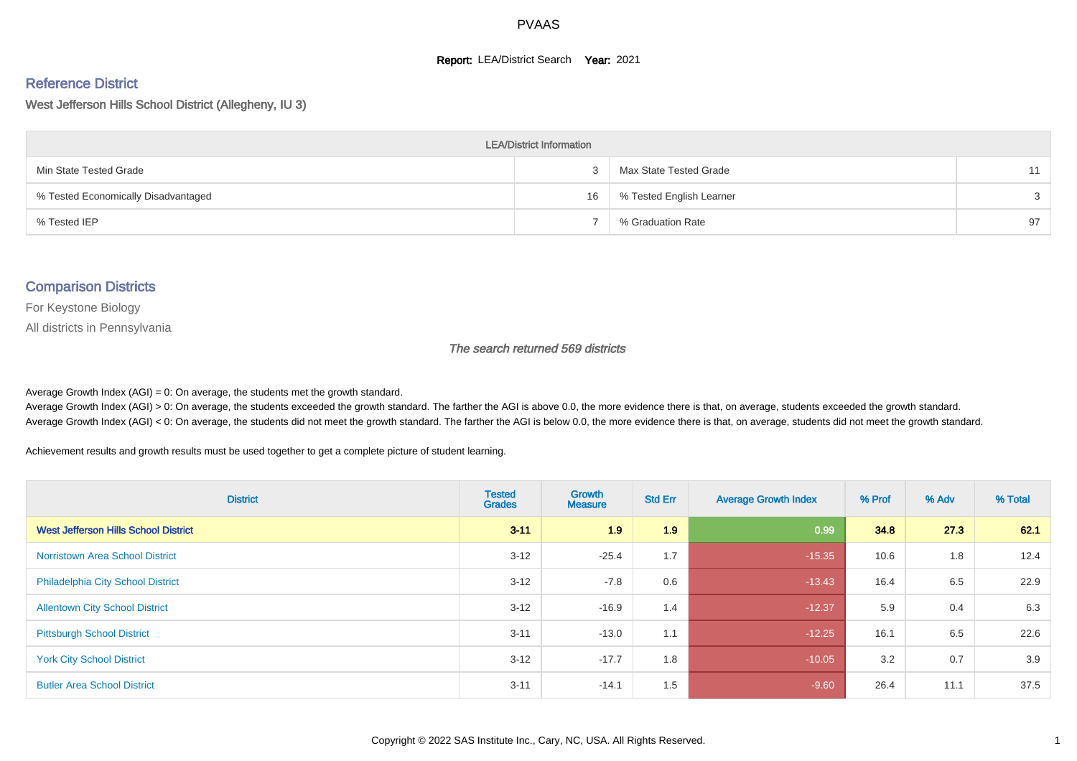#### **Report: LEA/District Search Year: 2021**

#### Reference District

West Jefferson Hills School District (Allegheny, IU 3)

| <b>LEA/District Information</b>     |    |                          |    |  |  |  |  |  |  |  |
|-------------------------------------|----|--------------------------|----|--|--|--|--|--|--|--|
| Min State Tested Grade              |    | Max State Tested Grade   | 11 |  |  |  |  |  |  |  |
| % Tested Economically Disadvantaged | 16 | % Tested English Learner | 3  |  |  |  |  |  |  |  |
| % Tested IEP                        |    | % Graduation Rate        | 97 |  |  |  |  |  |  |  |

#### Comparison Districts

For Keystone Biology

All districts in Pennsylvania

The search returned 569 districts

Average Growth Index  $(AGI) = 0$ : On average, the students met the growth standard.

Average Growth Index (AGI) > 0: On average, the students exceeded the growth standard. The farther the AGI is above 0.0, the more evidence there is that, on average, students exceeded the growth standard. Average Growth Index (AGI) < 0: On average, the students did not meet the growth standard. The farther the AGI is below 0.0, the more evidence there is that, on average, students did not meet the growth standard.

Achievement results and growth results must be used together to get a complete picture of student learning.

| <b>District</b>                             | <b>Tested</b><br><b>Grades</b> | Growth<br><b>Measure</b> | <b>Std Err</b> | <b>Average Growth Index</b> | % Prof | % Adv | % Total |
|---------------------------------------------|--------------------------------|--------------------------|----------------|-----------------------------|--------|-------|---------|
| <b>West Jefferson Hills School District</b> | $3 - 11$                       | 1.9                      | 1.9            | 0.99                        | 34.8   | 27.3  | 62.1    |
| <b>Norristown Area School District</b>      | $3 - 12$                       | $-25.4$                  | 1.7            | $-15.35$                    | 10.6   | 1.8   | 12.4    |
| Philadelphia City School District           | $3 - 12$                       | $-7.8$                   | 0.6            | $-13.43$                    | 16.4   | 6.5   | 22.9    |
| <b>Allentown City School District</b>       | $3 - 12$                       | $-16.9$                  | 1.4            | $-12.37$                    | 5.9    | 0.4   | 6.3     |
| <b>Pittsburgh School District</b>           | $3 - 11$                       | $-13.0$                  | 1.1            | $-12.25$                    | 16.1   | 6.5   | 22.6    |
| <b>York City School District</b>            | $3 - 12$                       | $-17.7$                  | 1.8            | $-10.05$                    | 3.2    | 0.7   | 3.9     |
| <b>Butler Area School District</b>          | $3 - 11$                       | $-14.1$                  | 1.5            | $-9.60$                     | 26.4   | 11.1  | 37.5    |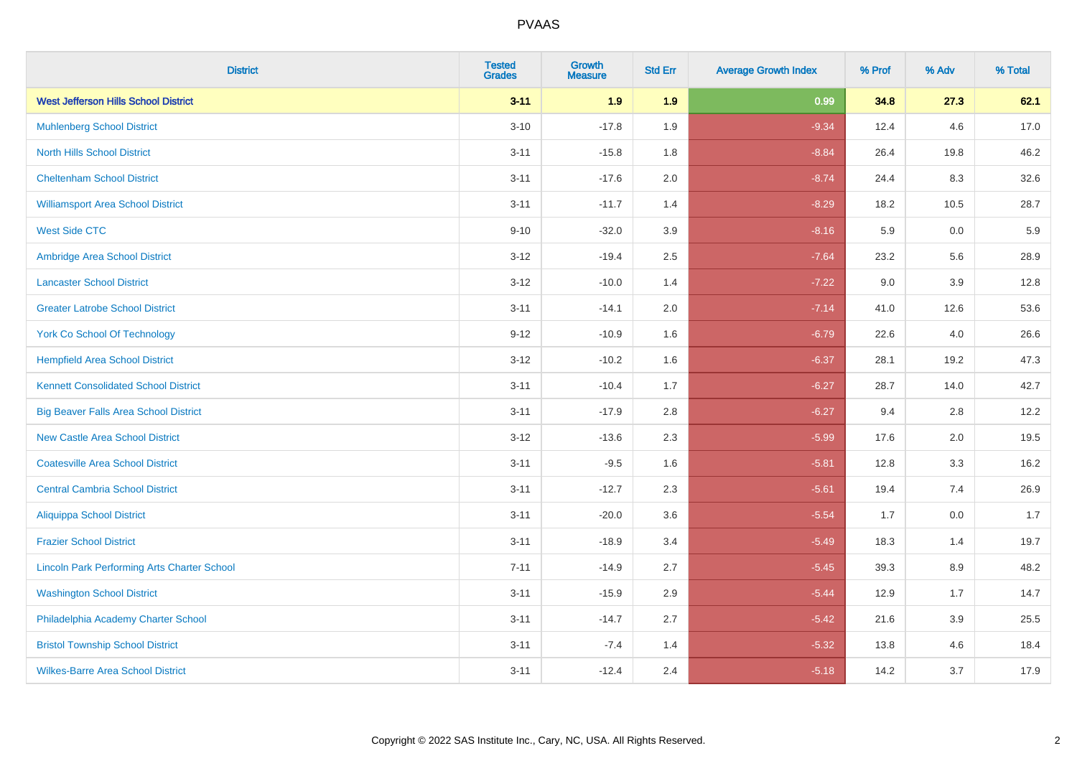| <b>District</b>                                    | <b>Tested</b><br><b>Grades</b> | <b>Growth</b><br><b>Measure</b> | <b>Std Err</b> | <b>Average Growth Index</b> | % Prof | % Adv   | % Total |
|----------------------------------------------------|--------------------------------|---------------------------------|----------------|-----------------------------|--------|---------|---------|
| <b>West Jefferson Hills School District</b>        | $3 - 11$                       | 1.9                             | 1.9            | 0.99                        | 34.8   | 27.3    | 62.1    |
| <b>Muhlenberg School District</b>                  | $3 - 10$                       | $-17.8$                         | 1.9            | $-9.34$                     | 12.4   | 4.6     | 17.0    |
| <b>North Hills School District</b>                 | $3 - 11$                       | $-15.8$                         | 1.8            | $-8.84$                     | 26.4   | 19.8    | 46.2    |
| <b>Cheltenham School District</b>                  | $3 - 11$                       | $-17.6$                         | 2.0            | $-8.74$                     | 24.4   | 8.3     | 32.6    |
| <b>Williamsport Area School District</b>           | $3 - 11$                       | $-11.7$                         | 1.4            | $-8.29$                     | 18.2   | 10.5    | 28.7    |
| <b>West Side CTC</b>                               | $9 - 10$                       | $-32.0$                         | 3.9            | $-8.16$                     | 5.9    | 0.0     | 5.9     |
| Ambridge Area School District                      | $3 - 12$                       | $-19.4$                         | 2.5            | $-7.64$                     | 23.2   | 5.6     | 28.9    |
| <b>Lancaster School District</b>                   | $3 - 12$                       | $-10.0$                         | 1.4            | $-7.22$                     | 9.0    | 3.9     | 12.8    |
| <b>Greater Latrobe School District</b>             | $3 - 11$                       | $-14.1$                         | 2.0            | $-7.14$                     | 41.0   | 12.6    | 53.6    |
| <b>York Co School Of Technology</b>                | $9 - 12$                       | $-10.9$                         | 1.6            | $-6.79$                     | 22.6   | 4.0     | 26.6    |
| <b>Hempfield Area School District</b>              | $3 - 12$                       | $-10.2$                         | 1.6            | $-6.37$                     | 28.1   | 19.2    | 47.3    |
| <b>Kennett Consolidated School District</b>        | $3 - 11$                       | $-10.4$                         | 1.7            | $-6.27$                     | 28.7   | 14.0    | 42.7    |
| <b>Big Beaver Falls Area School District</b>       | $3 - 11$                       | $-17.9$                         | 2.8            | $-6.27$                     | 9.4    | 2.8     | 12.2    |
| <b>New Castle Area School District</b>             | $3 - 12$                       | $-13.6$                         | 2.3            | $-5.99$                     | 17.6   | 2.0     | 19.5    |
| <b>Coatesville Area School District</b>            | $3 - 11$                       | $-9.5$                          | 1.6            | $-5.81$                     | 12.8   | 3.3     | 16.2    |
| <b>Central Cambria School District</b>             | $3 - 11$                       | $-12.7$                         | 2.3            | $-5.61$                     | 19.4   | 7.4     | 26.9    |
| <b>Aliquippa School District</b>                   | $3 - 11$                       | $-20.0$                         | 3.6            | $-5.54$                     | 1.7    | 0.0     | 1.7     |
| <b>Frazier School District</b>                     | $3 - 11$                       | $-18.9$                         | 3.4            | $-5.49$                     | 18.3   | 1.4     | 19.7    |
| <b>Lincoln Park Performing Arts Charter School</b> | $7 - 11$                       | $-14.9$                         | 2.7            | $-5.45$                     | 39.3   | 8.9     | 48.2    |
| <b>Washington School District</b>                  | $3 - 11$                       | $-15.9$                         | 2.9            | $-5.44$                     | 12.9   | 1.7     | 14.7    |
| Philadelphia Academy Charter School                | $3 - 11$                       | $-14.7$                         | 2.7            | $-5.42$                     | 21.6   | $3.9\,$ | 25.5    |
| <b>Bristol Township School District</b>            | $3 - 11$                       | $-7.4$                          | 1.4            | $-5.32$                     | 13.8   | 4.6     | 18.4    |
| <b>Wilkes-Barre Area School District</b>           | $3 - 11$                       | $-12.4$                         | 2.4            | $-5.18$                     | 14.2   | 3.7     | 17.9    |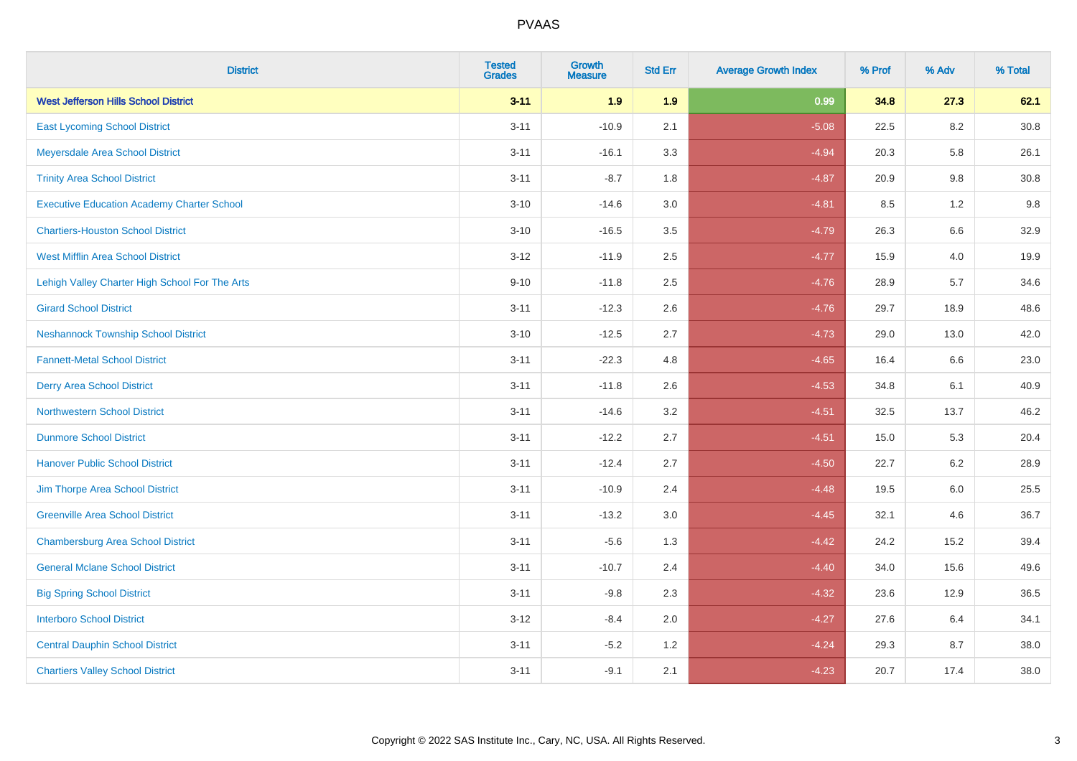| <b>District</b>                                   | <b>Tested</b><br><b>Grades</b> | <b>Growth</b><br><b>Measure</b> | <b>Std Err</b> | <b>Average Growth Index</b> | % Prof | % Adv   | % Total  |
|---------------------------------------------------|--------------------------------|---------------------------------|----------------|-----------------------------|--------|---------|----------|
| <b>West Jefferson Hills School District</b>       | $3 - 11$                       | 1.9                             | 1.9            | 0.99                        | 34.8   | 27.3    | 62.1     |
| <b>East Lycoming School District</b>              | $3 - 11$                       | $-10.9$                         | 2.1            | $-5.08$                     | 22.5   | 8.2     | $30.8\,$ |
| Meyersdale Area School District                   | $3 - 11$                       | $-16.1$                         | 3.3            | $-4.94$                     | 20.3   | 5.8     | 26.1     |
| <b>Trinity Area School District</b>               | $3 - 11$                       | $-8.7$                          | 1.8            | $-4.87$                     | 20.9   | 9.8     | 30.8     |
| <b>Executive Education Academy Charter School</b> | $3 - 10$                       | $-14.6$                         | 3.0            | $-4.81$                     | 8.5    | 1.2     | 9.8      |
| <b>Chartiers-Houston School District</b>          | $3 - 10$                       | $-16.5$                         | 3.5            | $-4.79$                     | 26.3   | 6.6     | 32.9     |
| <b>West Mifflin Area School District</b>          | $3 - 12$                       | $-11.9$                         | 2.5            | $-4.77$                     | 15.9   | 4.0     | 19.9     |
| Lehigh Valley Charter High School For The Arts    | $9 - 10$                       | $-11.8$                         | 2.5            | $-4.76$                     | 28.9   | 5.7     | 34.6     |
| <b>Girard School District</b>                     | $3 - 11$                       | $-12.3$                         | 2.6            | $-4.76$                     | 29.7   | 18.9    | 48.6     |
| <b>Neshannock Township School District</b>        | $3 - 10$                       | $-12.5$                         | 2.7            | $-4.73$                     | 29.0   | 13.0    | 42.0     |
| <b>Fannett-Metal School District</b>              | $3 - 11$                       | $-22.3$                         | 4.8            | $-4.65$                     | 16.4   | 6.6     | 23.0     |
| <b>Derry Area School District</b>                 | $3 - 11$                       | $-11.8$                         | 2.6            | $-4.53$                     | 34.8   | 6.1     | 40.9     |
| <b>Northwestern School District</b>               | $3 - 11$                       | $-14.6$                         | 3.2            | $-4.51$                     | 32.5   | 13.7    | 46.2     |
| <b>Dunmore School District</b>                    | $3 - 11$                       | $-12.2$                         | 2.7            | $-4.51$                     | 15.0   | 5.3     | 20.4     |
| <b>Hanover Public School District</b>             | $3 - 11$                       | $-12.4$                         | 2.7            | $-4.50$                     | 22.7   | 6.2     | 28.9     |
| Jim Thorpe Area School District                   | $3 - 11$                       | $-10.9$                         | 2.4            | $-4.48$                     | 19.5   | $6.0\,$ | 25.5     |
| <b>Greenville Area School District</b>            | $3 - 11$                       | $-13.2$                         | 3.0            | $-4.45$                     | 32.1   | 4.6     | 36.7     |
| <b>Chambersburg Area School District</b>          | $3 - 11$                       | $-5.6$                          | 1.3            | $-4.42$                     | 24.2   | 15.2    | 39.4     |
| <b>General Mclane School District</b>             | $3 - 11$                       | $-10.7$                         | 2.4            | $-4.40$                     | 34.0   | 15.6    | 49.6     |
| <b>Big Spring School District</b>                 | $3 - 11$                       | $-9.8$                          | 2.3            | $-4.32$                     | 23.6   | 12.9    | 36.5     |
| <b>Interboro School District</b>                  | $3 - 12$                       | $-8.4$                          | 2.0            | $-4.27$                     | 27.6   | 6.4     | 34.1     |
| <b>Central Dauphin School District</b>            | $3 - 11$                       | $-5.2$                          | 1.2            | $-4.24$                     | 29.3   | 8.7     | 38.0     |
| <b>Chartiers Valley School District</b>           | $3 - 11$                       | $-9.1$                          | 2.1            | $-4.23$                     | 20.7   | 17.4    | 38.0     |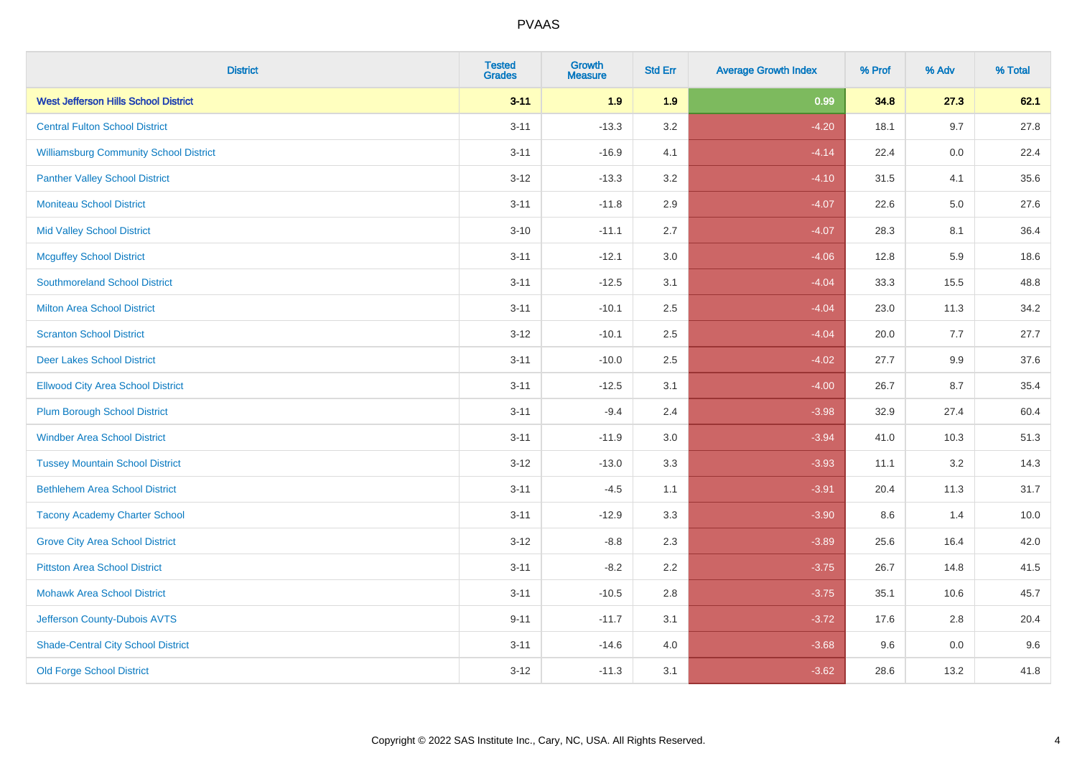| <b>District</b>                               | <b>Tested</b><br><b>Grades</b> | <b>Growth</b><br><b>Measure</b> | <b>Std Err</b> | <b>Average Growth Index</b> | % Prof | % Adv   | % Total |
|-----------------------------------------------|--------------------------------|---------------------------------|----------------|-----------------------------|--------|---------|---------|
| <b>West Jefferson Hills School District</b>   | $3 - 11$                       | 1.9                             | 1.9            | 0.99                        | 34.8   | 27.3    | 62.1    |
| <b>Central Fulton School District</b>         | $3 - 11$                       | $-13.3$                         | 3.2            | $-4.20$                     | 18.1   | 9.7     | 27.8    |
| <b>Williamsburg Community School District</b> | $3 - 11$                       | $-16.9$                         | 4.1            | $-4.14$                     | 22.4   | 0.0     | 22.4    |
| <b>Panther Valley School District</b>         | $3 - 12$                       | $-13.3$                         | 3.2            | $-4.10$                     | 31.5   | 4.1     | 35.6    |
| <b>Moniteau School District</b>               | $3 - 11$                       | $-11.8$                         | 2.9            | $-4.07$                     | 22.6   | 5.0     | 27.6    |
| <b>Mid Valley School District</b>             | $3 - 10$                       | $-11.1$                         | 2.7            | $-4.07$                     | 28.3   | 8.1     | 36.4    |
| <b>Mcguffey School District</b>               | $3 - 11$                       | $-12.1$                         | 3.0            | $-4.06$                     | 12.8   | 5.9     | 18.6    |
| <b>Southmoreland School District</b>          | $3 - 11$                       | $-12.5$                         | 3.1            | $-4.04$                     | 33.3   | 15.5    | 48.8    |
| <b>Milton Area School District</b>            | $3 - 11$                       | $-10.1$                         | 2.5            | $-4.04$                     | 23.0   | 11.3    | 34.2    |
| <b>Scranton School District</b>               | $3 - 12$                       | $-10.1$                         | $2.5\,$        | $-4.04$                     | 20.0   | 7.7     | 27.7    |
| <b>Deer Lakes School District</b>             | $3 - 11$                       | $-10.0$                         | 2.5            | $-4.02$                     | 27.7   | 9.9     | 37.6    |
| <b>Ellwood City Area School District</b>      | $3 - 11$                       | $-12.5$                         | 3.1            | $-4.00$                     | 26.7   | 8.7     | 35.4    |
| <b>Plum Borough School District</b>           | $3 - 11$                       | $-9.4$                          | 2.4            | $-3.98$                     | 32.9   | 27.4    | 60.4    |
| <b>Windber Area School District</b>           | $3 - 11$                       | $-11.9$                         | 3.0            | $-3.94$                     | 41.0   | 10.3    | 51.3    |
| <b>Tussey Mountain School District</b>        | $3 - 12$                       | $-13.0$                         | 3.3            | $-3.93$                     | 11.1   | 3.2     | 14.3    |
| <b>Bethlehem Area School District</b>         | $3 - 11$                       | $-4.5$                          | 1.1            | $-3.91$                     | 20.4   | 11.3    | 31.7    |
| <b>Tacony Academy Charter School</b>          | $3 - 11$                       | $-12.9$                         | 3.3            | $-3.90$                     | 8.6    | 1.4     | 10.0    |
| <b>Grove City Area School District</b>        | $3 - 12$                       | $-8.8$                          | 2.3            | $-3.89$                     | 25.6   | 16.4    | 42.0    |
| <b>Pittston Area School District</b>          | $3 - 11$                       | $-8.2$                          | 2.2            | $-3.75$                     | 26.7   | 14.8    | 41.5    |
| <b>Mohawk Area School District</b>            | $3 - 11$                       | $-10.5$                         | 2.8            | $-3.75$                     | 35.1   | 10.6    | 45.7    |
| Jefferson County-Dubois AVTS                  | $9 - 11$                       | $-11.7$                         | 3.1            | $-3.72$                     | 17.6   | 2.8     | 20.4    |
| <b>Shade-Central City School District</b>     | $3 - 11$                       | $-14.6$                         | 4.0            | $-3.68$                     | 9.6    | $0.0\,$ | 9.6     |
| <b>Old Forge School District</b>              | $3 - 12$                       | $-11.3$                         | 3.1            | $-3.62$                     | 28.6   | 13.2    | 41.8    |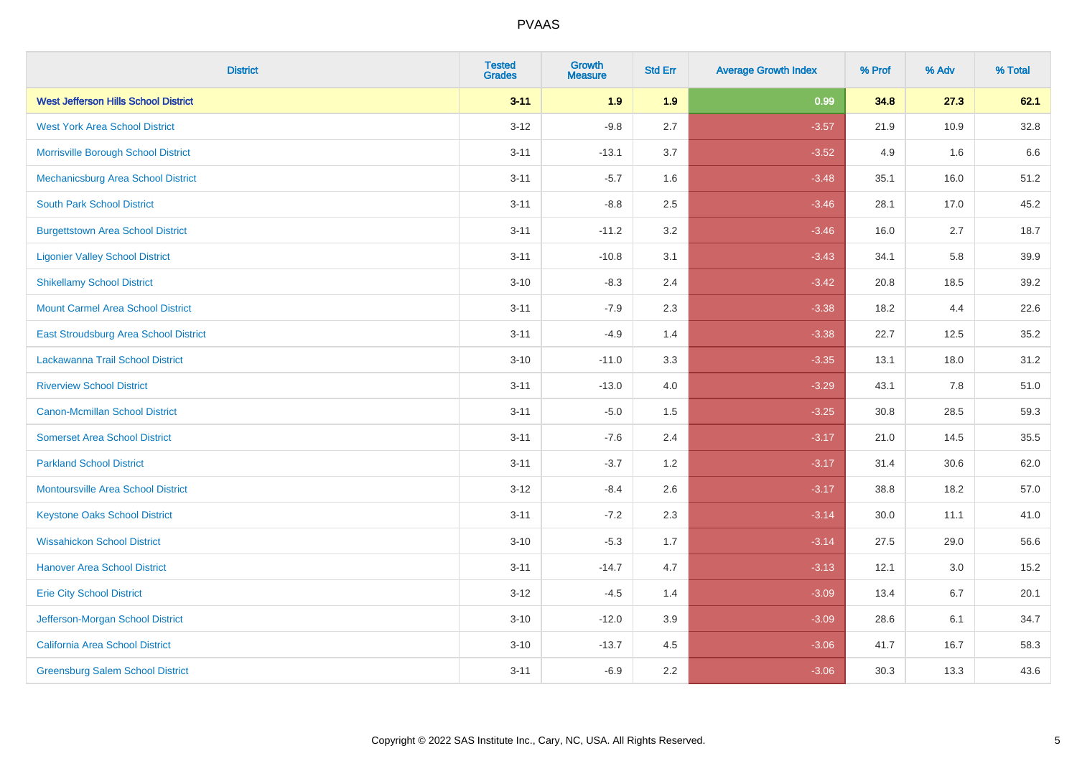| <b>District</b>                             | <b>Tested</b><br><b>Grades</b> | <b>Growth</b><br><b>Measure</b> | <b>Std Err</b> | <b>Average Growth Index</b> | % Prof | % Adv | % Total |
|---------------------------------------------|--------------------------------|---------------------------------|----------------|-----------------------------|--------|-------|---------|
| <b>West Jefferson Hills School District</b> | $3 - 11$                       | 1.9                             | 1.9            | 0.99                        | 34.8   | 27.3  | 62.1    |
| <b>West York Area School District</b>       | $3 - 12$                       | $-9.8$                          | 2.7            | $-3.57$                     | 21.9   | 10.9  | 32.8    |
| Morrisville Borough School District         | $3 - 11$                       | $-13.1$                         | 3.7            | $-3.52$                     | 4.9    | 1.6   | 6.6     |
| Mechanicsburg Area School District          | $3 - 11$                       | $-5.7$                          | 1.6            | $-3.48$                     | 35.1   | 16.0  | 51.2    |
| <b>South Park School District</b>           | $3 - 11$                       | $-8.8$                          | 2.5            | $-3.46$                     | 28.1   | 17.0  | 45.2    |
| <b>Burgettstown Area School District</b>    | $3 - 11$                       | $-11.2$                         | 3.2            | $-3.46$                     | 16.0   | 2.7   | 18.7    |
| <b>Ligonier Valley School District</b>      | $3 - 11$                       | $-10.8$                         | 3.1            | $-3.43$                     | 34.1   | 5.8   | 39.9    |
| <b>Shikellamy School District</b>           | $3 - 10$                       | $-8.3$                          | 2.4            | $-3.42$                     | 20.8   | 18.5  | 39.2    |
| <b>Mount Carmel Area School District</b>    | $3 - 11$                       | $-7.9$                          | 2.3            | $-3.38$                     | 18.2   | 4.4   | 22.6    |
| East Stroudsburg Area School District       | $3 - 11$                       | $-4.9$                          | 1.4            | $-3.38$                     | 22.7   | 12.5  | 35.2    |
| Lackawanna Trail School District            | $3 - 10$                       | $-11.0$                         | 3.3            | $-3.35$                     | 13.1   | 18.0  | 31.2    |
| <b>Riverview School District</b>            | $3 - 11$                       | $-13.0$                         | 4.0            | $-3.29$                     | 43.1   | 7.8   | 51.0    |
| Canon-Mcmillan School District              | $3 - 11$                       | $-5.0$                          | 1.5            | $-3.25$                     | 30.8   | 28.5  | 59.3    |
| <b>Somerset Area School District</b>        | $3 - 11$                       | $-7.6$                          | 2.4            | $-3.17$                     | 21.0   | 14.5  | 35.5    |
| <b>Parkland School District</b>             | $3 - 11$                       | $-3.7$                          | 1.2            | $-3.17$                     | 31.4   | 30.6  | 62.0    |
| <b>Montoursville Area School District</b>   | $3 - 12$                       | $-8.4$                          | 2.6            | $-3.17$                     | 38.8   | 18.2  | 57.0    |
| <b>Keystone Oaks School District</b>        | $3 - 11$                       | $-7.2$                          | 2.3            | $-3.14$                     | 30.0   | 11.1  | 41.0    |
| <b>Wissahickon School District</b>          | $3 - 10$                       | $-5.3$                          | 1.7            | $-3.14$                     | 27.5   | 29.0  | 56.6    |
| <b>Hanover Area School District</b>         | $3 - 11$                       | $-14.7$                         | 4.7            | $-3.13$                     | 12.1   | 3.0   | 15.2    |
| <b>Erie City School District</b>            | $3 - 12$                       | $-4.5$                          | 1.4            | $-3.09$                     | 13.4   | 6.7   | 20.1    |
| Jefferson-Morgan School District            | $3 - 10$                       | $-12.0$                         | 3.9            | $-3.09$                     | 28.6   | 6.1   | 34.7    |
| California Area School District             | $3 - 10$                       | $-13.7$                         | 4.5            | $-3.06$                     | 41.7   | 16.7  | 58.3    |
| <b>Greensburg Salem School District</b>     | $3 - 11$                       | $-6.9$                          | 2.2            | $-3.06$                     | 30.3   | 13.3  | 43.6    |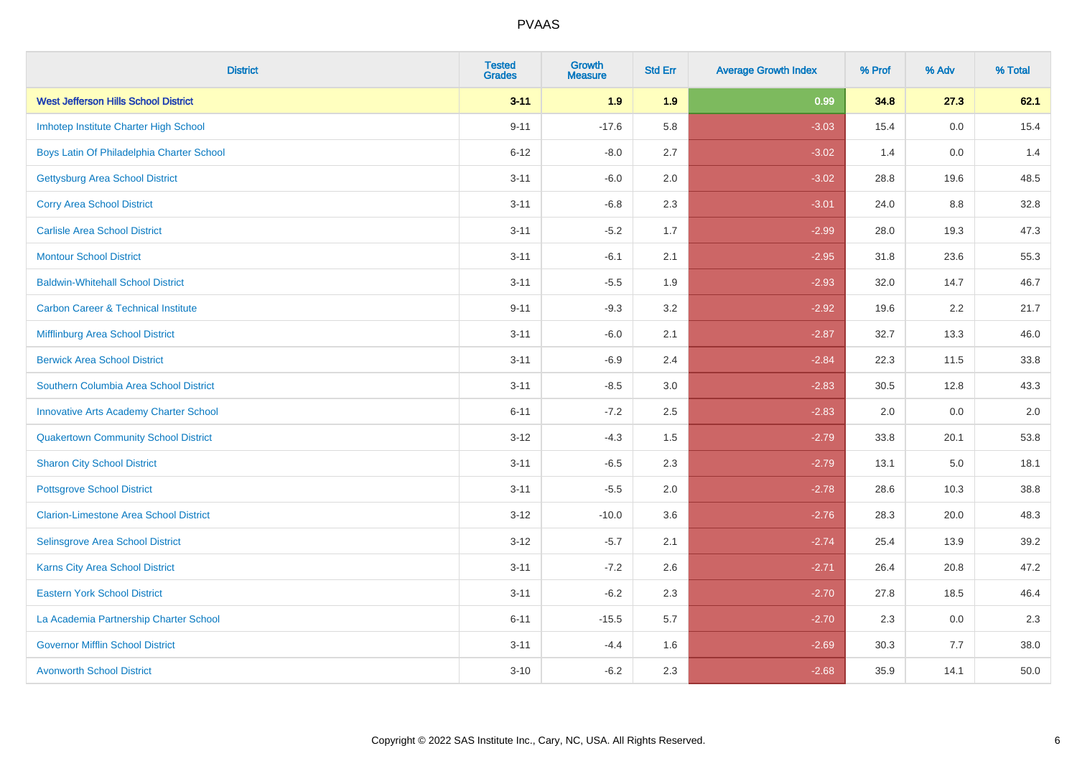| <b>District</b>                                | <b>Tested</b><br><b>Grades</b> | <b>Growth</b><br><b>Measure</b> | <b>Std Err</b> | <b>Average Growth Index</b> | % Prof | % Adv   | % Total |
|------------------------------------------------|--------------------------------|---------------------------------|----------------|-----------------------------|--------|---------|---------|
| <b>West Jefferson Hills School District</b>    | $3 - 11$                       | 1.9                             | 1.9            | 0.99                        | 34.8   | 27.3    | 62.1    |
| Imhotep Institute Charter High School          | $9 - 11$                       | $-17.6$                         | 5.8            | $-3.03$                     | 15.4   | 0.0     | 15.4    |
| Boys Latin Of Philadelphia Charter School      | $6 - 12$                       | $-8.0$                          | 2.7            | $-3.02$                     | 1.4    | 0.0     | 1.4     |
| <b>Gettysburg Area School District</b>         | $3 - 11$                       | $-6.0$                          | 2.0            | $-3.02$                     | 28.8   | 19.6    | 48.5    |
| <b>Corry Area School District</b>              | $3 - 11$                       | $-6.8$                          | 2.3            | $-3.01$                     | 24.0   | 8.8     | 32.8    |
| <b>Carlisle Area School District</b>           | $3 - 11$                       | $-5.2$                          | 1.7            | $-2.99$                     | 28.0   | 19.3    | 47.3    |
| <b>Montour School District</b>                 | $3 - 11$                       | $-6.1$                          | 2.1            | $-2.95$                     | 31.8   | 23.6    | 55.3    |
| <b>Baldwin-Whitehall School District</b>       | $3 - 11$                       | $-5.5$                          | 1.9            | $-2.93$                     | 32.0   | 14.7    | 46.7    |
| <b>Carbon Career &amp; Technical Institute</b> | $9 - 11$                       | $-9.3$                          | 3.2            | $-2.92$                     | 19.6   | 2.2     | 21.7    |
| Mifflinburg Area School District               | $3 - 11$                       | $-6.0$                          | 2.1            | $-2.87$                     | 32.7   | 13.3    | 46.0    |
| <b>Berwick Area School District</b>            | $3 - 11$                       | $-6.9$                          | 2.4            | $-2.84$                     | 22.3   | 11.5    | 33.8    |
| Southern Columbia Area School District         | $3 - 11$                       | $-8.5$                          | 3.0            | $-2.83$                     | 30.5   | 12.8    | 43.3    |
| <b>Innovative Arts Academy Charter School</b>  | $6 - 11$                       | $-7.2$                          | 2.5            | $-2.83$                     | 2.0    | 0.0     | $2.0\,$ |
| <b>Quakertown Community School District</b>    | $3 - 12$                       | $-4.3$                          | $1.5$          | $-2.79$                     | 33.8   | 20.1    | 53.8    |
| <b>Sharon City School District</b>             | $3 - 11$                       | $-6.5$                          | 2.3            | $-2.79$                     | 13.1   | $5.0\,$ | 18.1    |
| <b>Pottsgrove School District</b>              | $3 - 11$                       | $-5.5$                          | 2.0            | $-2.78$                     | 28.6   | 10.3    | 38.8    |
| <b>Clarion-Limestone Area School District</b>  | $3 - 12$                       | $-10.0$                         | 3.6            | $-2.76$                     | 28.3   | 20.0    | 48.3    |
| Selinsgrove Area School District               | $3 - 12$                       | $-5.7$                          | 2.1            | $-2.74$                     | 25.4   | 13.9    | 39.2    |
| Karns City Area School District                | $3 - 11$                       | $-7.2$                          | 2.6            | $-2.71$                     | 26.4   | 20.8    | 47.2    |
| <b>Eastern York School District</b>            | $3 - 11$                       | $-6.2$                          | 2.3            | $-2.70$                     | 27.8   | 18.5    | 46.4    |
| La Academia Partnership Charter School         | $6 - 11$                       | $-15.5$                         | 5.7            | $-2.70$                     | 2.3    | 0.0     | 2.3     |
| <b>Governor Mifflin School District</b>        | $3 - 11$                       | $-4.4$                          | 1.6            | $-2.69$                     | 30.3   | 7.7     | 38.0    |
| <b>Avonworth School District</b>               | $3 - 10$                       | $-6.2$                          | 2.3            | $-2.68$                     | 35.9   | 14.1    | 50.0    |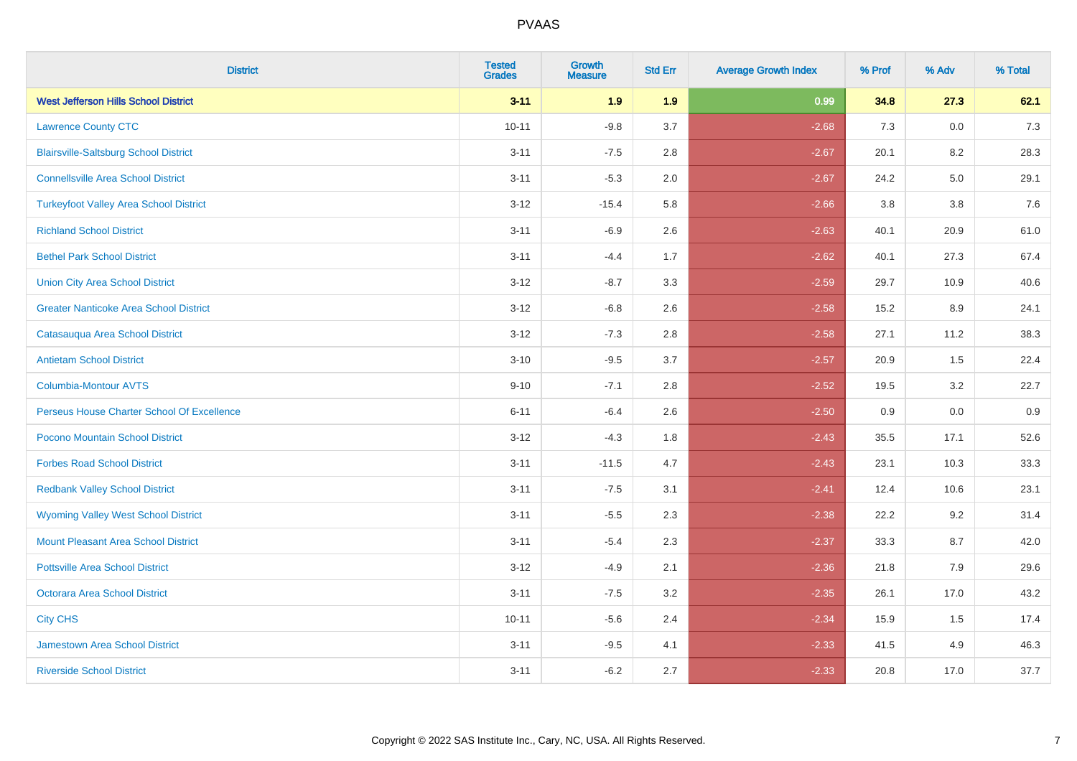| <b>District</b>                               | <b>Tested</b><br><b>Grades</b> | <b>Growth</b><br><b>Measure</b> | <b>Std Err</b> | <b>Average Growth Index</b> | % Prof | % Adv | % Total |
|-----------------------------------------------|--------------------------------|---------------------------------|----------------|-----------------------------|--------|-------|---------|
| <b>West Jefferson Hills School District</b>   | $3 - 11$                       | 1.9                             | 1.9            | 0.99                        | 34.8   | 27.3  | 62.1    |
| <b>Lawrence County CTC</b>                    | $10 - 11$                      | $-9.8$                          | 3.7            | $-2.68$                     | 7.3    | 0.0   | $7.3$   |
| <b>Blairsville-Saltsburg School District</b>  | $3 - 11$                       | $-7.5$                          | 2.8            | $-2.67$                     | 20.1   | 8.2   | 28.3    |
| <b>Connellsville Area School District</b>     | $3 - 11$                       | $-5.3$                          | 2.0            | $-2.67$                     | 24.2   | 5.0   | 29.1    |
| <b>Turkeyfoot Valley Area School District</b> | $3 - 12$                       | $-15.4$                         | 5.8            | $-2.66$                     | 3.8    | 3.8   | 7.6     |
| <b>Richland School District</b>               | $3 - 11$                       | $-6.9$                          | 2.6            | $-2.63$                     | 40.1   | 20.9  | 61.0    |
| <b>Bethel Park School District</b>            | $3 - 11$                       | $-4.4$                          | 1.7            | $-2.62$                     | 40.1   | 27.3  | 67.4    |
| <b>Union City Area School District</b>        | $3 - 12$                       | $-8.7$                          | 3.3            | $-2.59$                     | 29.7   | 10.9  | 40.6    |
| <b>Greater Nanticoke Area School District</b> | $3 - 12$                       | $-6.8$                          | 2.6            | $-2.58$                     | 15.2   | 8.9   | 24.1    |
| Catasauqua Area School District               | $3 - 12$                       | $-7.3$                          | 2.8            | $-2.58$                     | 27.1   | 11.2  | 38.3    |
| <b>Antietam School District</b>               | $3 - 10$                       | $-9.5$                          | 3.7            | $-2.57$                     | 20.9   | 1.5   | 22.4    |
| Columbia-Montour AVTS                         | $9 - 10$                       | $-7.1$                          | 2.8            | $-2.52$                     | 19.5   | 3.2   | 22.7    |
| Perseus House Charter School Of Excellence    | $6 - 11$                       | $-6.4$                          | 2.6            | $-2.50$                     | 0.9    | 0.0   | 0.9     |
| Pocono Mountain School District               | $3 - 12$                       | $-4.3$                          | 1.8            | $-2.43$                     | 35.5   | 17.1  | 52.6    |
| <b>Forbes Road School District</b>            | $3 - 11$                       | $-11.5$                         | 4.7            | $-2.43$                     | 23.1   | 10.3  | 33.3    |
| <b>Redbank Valley School District</b>         | $3 - 11$                       | $-7.5$                          | 3.1            | $-2.41$                     | 12.4   | 10.6  | 23.1    |
| <b>Wyoming Valley West School District</b>    | $3 - 11$                       | $-5.5$                          | 2.3            | $-2.38$                     | 22.2   | 9.2   | 31.4    |
| Mount Pleasant Area School District           | $3 - 11$                       | $-5.4$                          | 2.3            | $-2.37$                     | 33.3   | 8.7   | 42.0    |
| <b>Pottsville Area School District</b>        | $3 - 12$                       | $-4.9$                          | 2.1            | $-2.36$                     | 21.8   | 7.9   | 29.6    |
| <b>Octorara Area School District</b>          | $3 - 11$                       | $-7.5$                          | 3.2            | $-2.35$                     | 26.1   | 17.0  | 43.2    |
| <b>City CHS</b>                               | $10 - 11$                      | $-5.6$                          | 2.4            | $-2.34$                     | 15.9   | 1.5   | 17.4    |
| <b>Jamestown Area School District</b>         | $3 - 11$                       | $-9.5$                          | 4.1            | $-2.33$                     | 41.5   | 4.9   | 46.3    |
| <b>Riverside School District</b>              | $3 - 11$                       | $-6.2$                          | 2.7            | $-2.33$                     | 20.8   | 17.0  | 37.7    |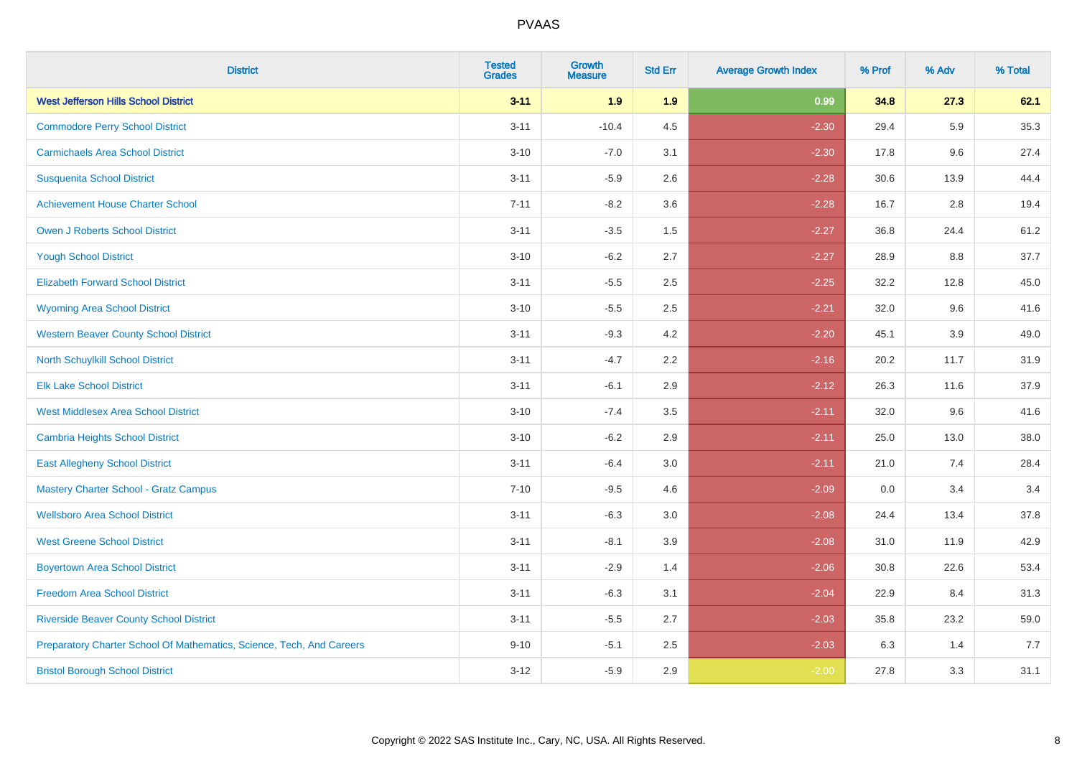| <b>District</b>                                                       | <b>Tested</b><br><b>Grades</b> | <b>Growth</b><br><b>Measure</b> | <b>Std Err</b> | <b>Average Growth Index</b> | % Prof | % Adv | % Total |
|-----------------------------------------------------------------------|--------------------------------|---------------------------------|----------------|-----------------------------|--------|-------|---------|
| <b>West Jefferson Hills School District</b>                           | $3 - 11$                       | 1.9                             | 1.9            | 0.99                        | 34.8   | 27.3  | 62.1    |
| <b>Commodore Perry School District</b>                                | $3 - 11$                       | $-10.4$                         | 4.5            | $-2.30$                     | 29.4   | 5.9   | 35.3    |
| <b>Carmichaels Area School District</b>                               | $3 - 10$                       | $-7.0$                          | 3.1            | $-2.30$                     | 17.8   | 9.6   | 27.4    |
| <b>Susquenita School District</b>                                     | $3 - 11$                       | $-5.9$                          | 2.6            | $-2.28$                     | 30.6   | 13.9  | 44.4    |
| <b>Achievement House Charter School</b>                               | $7 - 11$                       | $-8.2$                          | 3.6            | $-2.28$                     | 16.7   | 2.8   | 19.4    |
| <b>Owen J Roberts School District</b>                                 | $3 - 11$                       | $-3.5$                          | 1.5            | $-2.27$                     | 36.8   | 24.4  | 61.2    |
| <b>Yough School District</b>                                          | $3 - 10$                       | $-6.2$                          | 2.7            | $-2.27$                     | 28.9   | 8.8   | 37.7    |
| <b>Elizabeth Forward School District</b>                              | $3 - 11$                       | $-5.5$                          | 2.5            | $-2.25$                     | 32.2   | 12.8  | 45.0    |
| <b>Wyoming Area School District</b>                                   | $3 - 10$                       | $-5.5$                          | 2.5            | $-2.21$                     | 32.0   | 9.6   | 41.6    |
| <b>Western Beaver County School District</b>                          | $3 - 11$                       | $-9.3$                          | 4.2            | $-2.20$                     | 45.1   | 3.9   | 49.0    |
| <b>North Schuylkill School District</b>                               | $3 - 11$                       | $-4.7$                          | 2.2            | $-2.16$                     | 20.2   | 11.7  | 31.9    |
| <b>Elk Lake School District</b>                                       | $3 - 11$                       | $-6.1$                          | 2.9            | $-2.12$                     | 26.3   | 11.6  | 37.9    |
| <b>West Middlesex Area School District</b>                            | $3 - 10$                       | $-7.4$                          | 3.5            | $-2.11$                     | 32.0   | 9.6   | 41.6    |
| <b>Cambria Heights School District</b>                                | $3 - 10$                       | $-6.2$                          | 2.9            | $-2.11$                     | 25.0   | 13.0  | 38.0    |
| <b>East Allegheny School District</b>                                 | $3 - 11$                       | $-6.4$                          | 3.0            | $-2.11$                     | 21.0   | 7.4   | 28.4    |
| <b>Mastery Charter School - Gratz Campus</b>                          | $7 - 10$                       | $-9.5$                          | 4.6            | $-2.09$                     | 0.0    | 3.4   | 3.4     |
| <b>Wellsboro Area School District</b>                                 | $3 - 11$                       | $-6.3$                          | 3.0            | $-2.08$                     | 24.4   | 13.4  | 37.8    |
| <b>West Greene School District</b>                                    | $3 - 11$                       | $-8.1$                          | 3.9            | $-2.08$                     | 31.0   | 11.9  | 42.9    |
| <b>Boyertown Area School District</b>                                 | $3 - 11$                       | $-2.9$                          | 1.4            | $-2.06$                     | 30.8   | 22.6  | 53.4    |
| <b>Freedom Area School District</b>                                   | $3 - 11$                       | $-6.3$                          | 3.1            | $-2.04$                     | 22.9   | 8.4   | 31.3    |
| <b>Riverside Beaver County School District</b>                        | $3 - 11$                       | $-5.5$                          | 2.7            | $-2.03$                     | 35.8   | 23.2  | 59.0    |
| Preparatory Charter School Of Mathematics, Science, Tech, And Careers | $9 - 10$                       | $-5.1$                          | 2.5            | $-2.03$                     | 6.3    | 1.4   | 7.7     |
| <b>Bristol Borough School District</b>                                | $3 - 12$                       | $-5.9$                          | 2.9            | $-2.00$                     | 27.8   | 3.3   | 31.1    |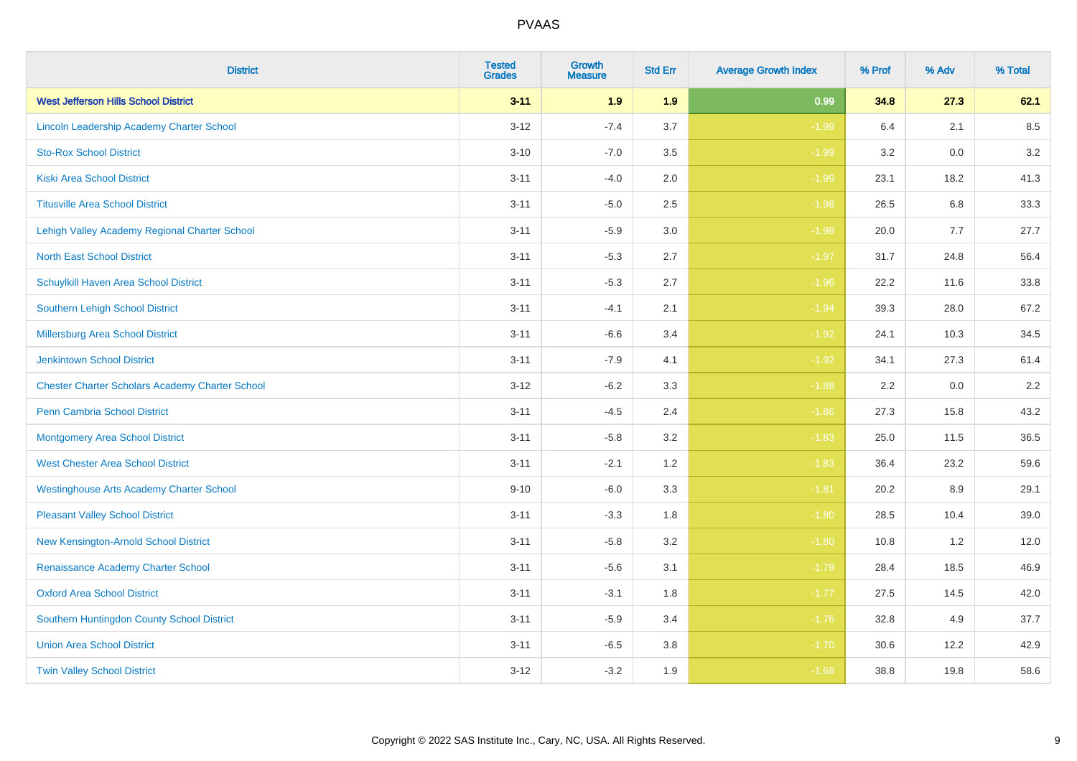| <b>District</b>                                        | <b>Tested</b><br><b>Grades</b> | <b>Growth</b><br><b>Measure</b> | <b>Std Err</b> | <b>Average Growth Index</b> | % Prof | % Adv | % Total |
|--------------------------------------------------------|--------------------------------|---------------------------------|----------------|-----------------------------|--------|-------|---------|
| <b>West Jefferson Hills School District</b>            | $3 - 11$                       | 1.9                             | 1.9            | 0.99                        | 34.8   | 27.3  | 62.1    |
| Lincoln Leadership Academy Charter School              | $3-12$                         | $-7.4$                          | 3.7            | $-1.99$                     | 6.4    | 2.1   | 8.5     |
| <b>Sto-Rox School District</b>                         | $3 - 10$                       | $-7.0$                          | 3.5            | $-1.99$                     | 3.2    | 0.0   | $3.2\,$ |
| <b>Kiski Area School District</b>                      | $3 - 11$                       | $-4.0$                          | 2.0            | $-1.99$                     | 23.1   | 18.2  | 41.3    |
| <b>Titusville Area School District</b>                 | $3 - 11$                       | $-5.0$                          | 2.5            | $-1.98$                     | 26.5   | 6.8   | 33.3    |
| Lehigh Valley Academy Regional Charter School          | $3 - 11$                       | $-5.9$                          | 3.0            | $-1.98$                     | 20.0   | 7.7   | 27.7    |
| <b>North East School District</b>                      | $3 - 11$                       | $-5.3$                          | 2.7            | $-1.97$                     | 31.7   | 24.8  | 56.4    |
| Schuylkill Haven Area School District                  | $3 - 11$                       | $-5.3$                          | 2.7            | $-1.96$                     | 22.2   | 11.6  | 33.8    |
| Southern Lehigh School District                        | $3 - 11$                       | $-4.1$                          | 2.1            | $-1.94$                     | 39.3   | 28.0  | 67.2    |
| Millersburg Area School District                       | $3 - 11$                       | $-6.6$                          | 3.4            | $-1.92$                     | 24.1   | 10.3  | 34.5    |
| <b>Jenkintown School District</b>                      | $3 - 11$                       | $-7.9$                          | 4.1            | $-1.92$                     | 34.1   | 27.3  | 61.4    |
| <b>Chester Charter Scholars Academy Charter School</b> | $3 - 12$                       | $-6.2$                          | 3.3            | $-1.88$                     | 2.2    | 0.0   | 2.2     |
| Penn Cambria School District                           | $3 - 11$                       | $-4.5$                          | 2.4            | $-1.86$                     | 27.3   | 15.8  | 43.2    |
| <b>Montgomery Area School District</b>                 | $3 - 11$                       | $-5.8$                          | 3.2            | $-1.83$                     | 25.0   | 11.5  | 36.5    |
| <b>West Chester Area School District</b>               | $3 - 11$                       | $-2.1$                          | 1.2            | $-1.83$                     | 36.4   | 23.2  | 59.6    |
| <b>Westinghouse Arts Academy Charter School</b>        | $9 - 10$                       | $-6.0$                          | 3.3            | $-1.81$                     | 20.2   | 8.9   | 29.1    |
| <b>Pleasant Valley School District</b>                 | $3 - 11$                       | $-3.3$                          | 1.8            | $-1.80$                     | 28.5   | 10.4  | 39.0    |
| New Kensington-Arnold School District                  | $3 - 11$                       | $-5.8$                          | 3.2            | $-1.80$                     | 10.8   | 1.2   | 12.0    |
| Renaissance Academy Charter School                     | $3 - 11$                       | $-5.6$                          | 3.1            | $-1.79$                     | 28.4   | 18.5  | 46.9    |
| <b>Oxford Area School District</b>                     | $3 - 11$                       | $-3.1$                          | 1.8            | $-1.77$                     | 27.5   | 14.5  | 42.0    |
| Southern Huntingdon County School District             | $3 - 11$                       | $-5.9$                          | 3.4            | $-1.76$                     | 32.8   | 4.9   | 37.7    |
| <b>Union Area School District</b>                      | $3 - 11$                       | $-6.5$                          | 3.8            | $-1.70$                     | 30.6   | 12.2  | 42.9    |
| <b>Twin Valley School District</b>                     | $3-12$                         | $-3.2$                          | 1.9            | $-1.68$                     | 38.8   | 19.8  | 58.6    |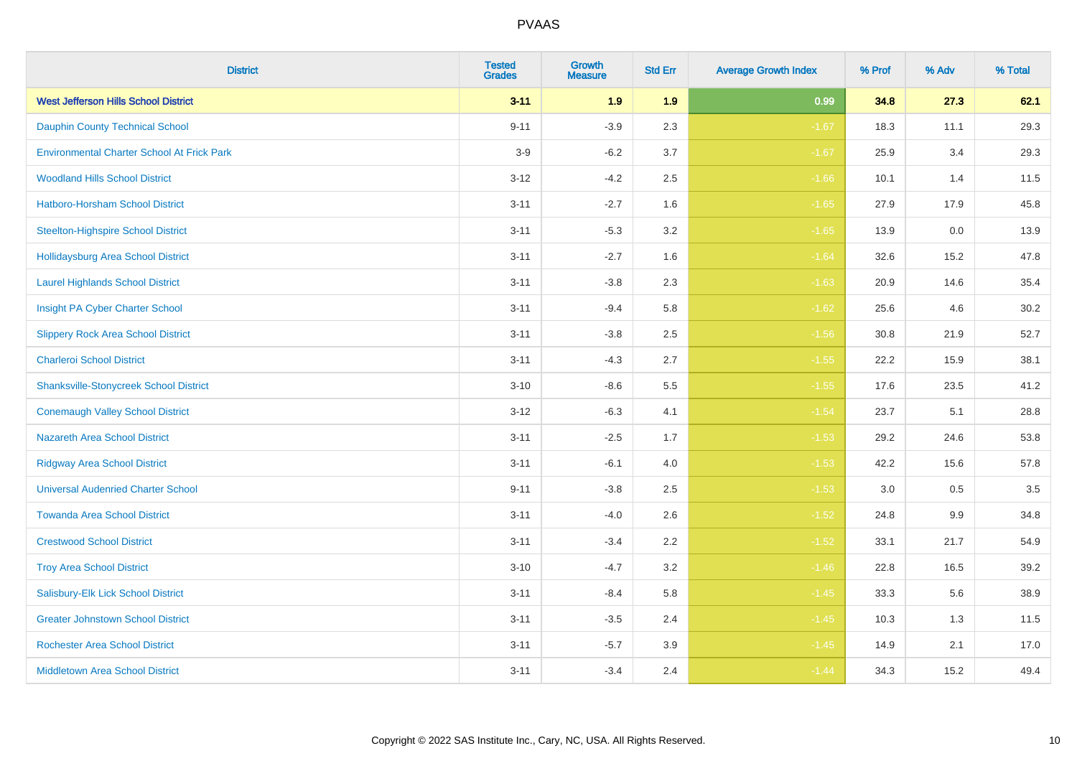| <b>District</b>                                   | <b>Tested</b><br><b>Grades</b> | <b>Growth</b><br><b>Measure</b> | <b>Std Err</b> | <b>Average Growth Index</b> | % Prof | % Adv | % Total |
|---------------------------------------------------|--------------------------------|---------------------------------|----------------|-----------------------------|--------|-------|---------|
| <b>West Jefferson Hills School District</b>       | $3 - 11$                       | 1.9                             | 1.9            | 0.99                        | 34.8   | 27.3  | 62.1    |
| <b>Dauphin County Technical School</b>            | $9 - 11$                       | $-3.9$                          | 2.3            | $-1.67$                     | 18.3   | 11.1  | 29.3    |
| <b>Environmental Charter School At Frick Park</b> | $3-9$                          | $-6.2$                          | 3.7            | $-1.67$                     | 25.9   | 3.4   | 29.3    |
| <b>Woodland Hills School District</b>             | $3 - 12$                       | $-4.2$                          | 2.5            | $-1.66$                     | 10.1   | 1.4   | 11.5    |
| Hatboro-Horsham School District                   | $3 - 11$                       | $-2.7$                          | 1.6            | $-1.65$                     | 27.9   | 17.9  | 45.8    |
| <b>Steelton-Highspire School District</b>         | $3 - 11$                       | $-5.3$                          | 3.2            | $-1.65$                     | 13.9   | 0.0   | 13.9    |
| <b>Hollidaysburg Area School District</b>         | $3 - 11$                       | $-2.7$                          | 1.6            | $-1.64$                     | 32.6   | 15.2  | 47.8    |
| <b>Laurel Highlands School District</b>           | $3 - 11$                       | $-3.8$                          | 2.3            | $-1.63$                     | 20.9   | 14.6  | 35.4    |
| Insight PA Cyber Charter School                   | $3 - 11$                       | $-9.4$                          | 5.8            | $-1.62$                     | 25.6   | 4.6   | 30.2    |
| <b>Slippery Rock Area School District</b>         | $3 - 11$                       | $-3.8$                          | 2.5            | $-1.56$                     | 30.8   | 21.9  | 52.7    |
| <b>Charleroi School District</b>                  | $3 - 11$                       | $-4.3$                          | 2.7            | $-1.55$                     | 22.2   | 15.9  | 38.1    |
| <b>Shanksville-Stonycreek School District</b>     | $3 - 10$                       | $-8.6$                          | 5.5            | $-1.55$                     | 17.6   | 23.5  | 41.2    |
| <b>Conemaugh Valley School District</b>           | $3 - 12$                       | $-6.3$                          | 4.1            | $-1.54$                     | 23.7   | 5.1   | 28.8    |
| <b>Nazareth Area School District</b>              | $3 - 11$                       | $-2.5$                          | 1.7            | $-1.53$                     | 29.2   | 24.6  | 53.8    |
| <b>Ridgway Area School District</b>               | $3 - 11$                       | $-6.1$                          | 4.0            | $-1.53$                     | 42.2   | 15.6  | 57.8    |
| <b>Universal Audenried Charter School</b>         | $9 - 11$                       | $-3.8$                          | 2.5            | $-1.53$                     | 3.0    | 0.5   | 3.5     |
| <b>Towanda Area School District</b>               | $3 - 11$                       | $-4.0$                          | 2.6            | $-1.52$                     | 24.8   | 9.9   | 34.8    |
| <b>Crestwood School District</b>                  | $3 - 11$                       | $-3.4$                          | 2.2            | $-1.52$                     | 33.1   | 21.7  | 54.9    |
| <b>Troy Area School District</b>                  | $3 - 10$                       | $-4.7$                          | 3.2            | $-1.46$                     | 22.8   | 16.5  | 39.2    |
| Salisbury-Elk Lick School District                | $3 - 11$                       | $-8.4$                          | 5.8            | $-1.45$                     | 33.3   | 5.6   | 38.9    |
| <b>Greater Johnstown School District</b>          | $3 - 11$                       | $-3.5$                          | 2.4            | $-1.45$                     | 10.3   | 1.3   | 11.5    |
| <b>Rochester Area School District</b>             | $3 - 11$                       | $-5.7$                          | 3.9            | $-1.45$                     | 14.9   | 2.1   | 17.0    |
| <b>Middletown Area School District</b>            | $3 - 11$                       | $-3.4$                          | 2.4            | $-1.44$                     | 34.3   | 15.2  | 49.4    |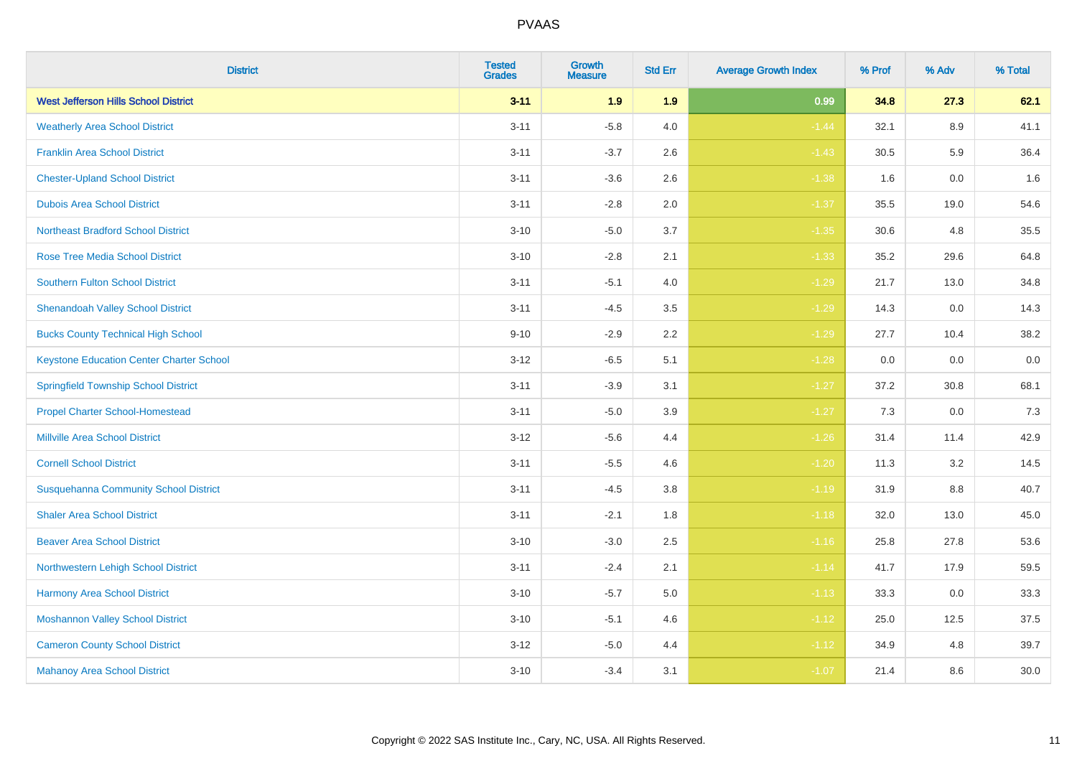| <b>District</b>                                 | <b>Tested</b><br><b>Grades</b> | Growth<br><b>Measure</b> | <b>Std Err</b> | <b>Average Growth Index</b> | % Prof | % Adv | % Total |
|-------------------------------------------------|--------------------------------|--------------------------|----------------|-----------------------------|--------|-------|---------|
| <b>West Jefferson Hills School District</b>     | $3 - 11$                       | 1.9                      | 1.9            | 0.99                        | 34.8   | 27.3  | 62.1    |
| <b>Weatherly Area School District</b>           | $3 - 11$                       | $-5.8$                   | 4.0            | $-1.44$                     | 32.1   | 8.9   | 41.1    |
| <b>Franklin Area School District</b>            | $3 - 11$                       | $-3.7$                   | 2.6            | $-1.43$                     | 30.5   | 5.9   | 36.4    |
| <b>Chester-Upland School District</b>           | $3 - 11$                       | $-3.6$                   | 2.6            | $-1.38$                     | 1.6    | 0.0   | 1.6     |
| <b>Dubois Area School District</b>              | $3 - 11$                       | $-2.8$                   | 2.0            | $-1.37$                     | 35.5   | 19.0  | 54.6    |
| <b>Northeast Bradford School District</b>       | $3 - 10$                       | $-5.0$                   | 3.7            | $-1.35$                     | 30.6   | 4.8   | 35.5    |
| <b>Rose Tree Media School District</b>          | $3 - 10$                       | $-2.8$                   | 2.1            | $-1.33$                     | 35.2   | 29.6  | 64.8    |
| <b>Southern Fulton School District</b>          | $3 - 11$                       | $-5.1$                   | 4.0            | $-1.29$                     | 21.7   | 13.0  | 34.8    |
| <b>Shenandoah Valley School District</b>        | $3 - 11$                       | $-4.5$                   | 3.5            | $-1.29$                     | 14.3   | 0.0   | 14.3    |
| <b>Bucks County Technical High School</b>       | $9 - 10$                       | $-2.9$                   | 2.2            | $-1.29$                     | 27.7   | 10.4  | 38.2    |
| <b>Keystone Education Center Charter School</b> | $3 - 12$                       | $-6.5$                   | 5.1            | $-1.28$                     | 0.0    | 0.0   | $0.0\,$ |
| <b>Springfield Township School District</b>     | $3 - 11$                       | $-3.9$                   | 3.1            | $-1.27$                     | 37.2   | 30.8  | 68.1    |
| <b>Propel Charter School-Homestead</b>          | $3 - 11$                       | $-5.0$                   | 3.9            | $-1.27$                     | 7.3    | 0.0   | 7.3     |
| <b>Millville Area School District</b>           | $3 - 12$                       | $-5.6$                   | 4.4            | $-1.26$                     | 31.4   | 11.4  | 42.9    |
| <b>Cornell School District</b>                  | $3 - 11$                       | $-5.5$                   | 4.6            | $-1.20$                     | 11.3   | 3.2   | 14.5    |
| <b>Susquehanna Community School District</b>    | $3 - 11$                       | $-4.5$                   | 3.8            | $-1.19$                     | 31.9   | 8.8   | 40.7    |
| <b>Shaler Area School District</b>              | $3 - 11$                       | $-2.1$                   | 1.8            | $-1.18$                     | 32.0   | 13.0  | 45.0    |
| <b>Beaver Area School District</b>              | $3 - 10$                       | $-3.0$                   | 2.5            | $-1.16$                     | 25.8   | 27.8  | 53.6    |
| Northwestern Lehigh School District             | $3 - 11$                       | $-2.4$                   | 2.1            | $-1.14$                     | 41.7   | 17.9  | 59.5    |
| Harmony Area School District                    | $3 - 10$                       | $-5.7$                   | 5.0            | $-1.13$                     | 33.3   | 0.0   | 33.3    |
| <b>Moshannon Valley School District</b>         | $3 - 10$                       | $-5.1$                   | 4.6            | $-1.12$                     | 25.0   | 12.5  | 37.5    |
| <b>Cameron County School District</b>           | $3 - 12$                       | $-5.0$                   | 4.4            | $-1.12$                     | 34.9   | 4.8   | 39.7    |
| <b>Mahanoy Area School District</b>             | $3 - 10$                       | $-3.4$                   | 3.1            | $-1.07$                     | 21.4   | 8.6   | 30.0    |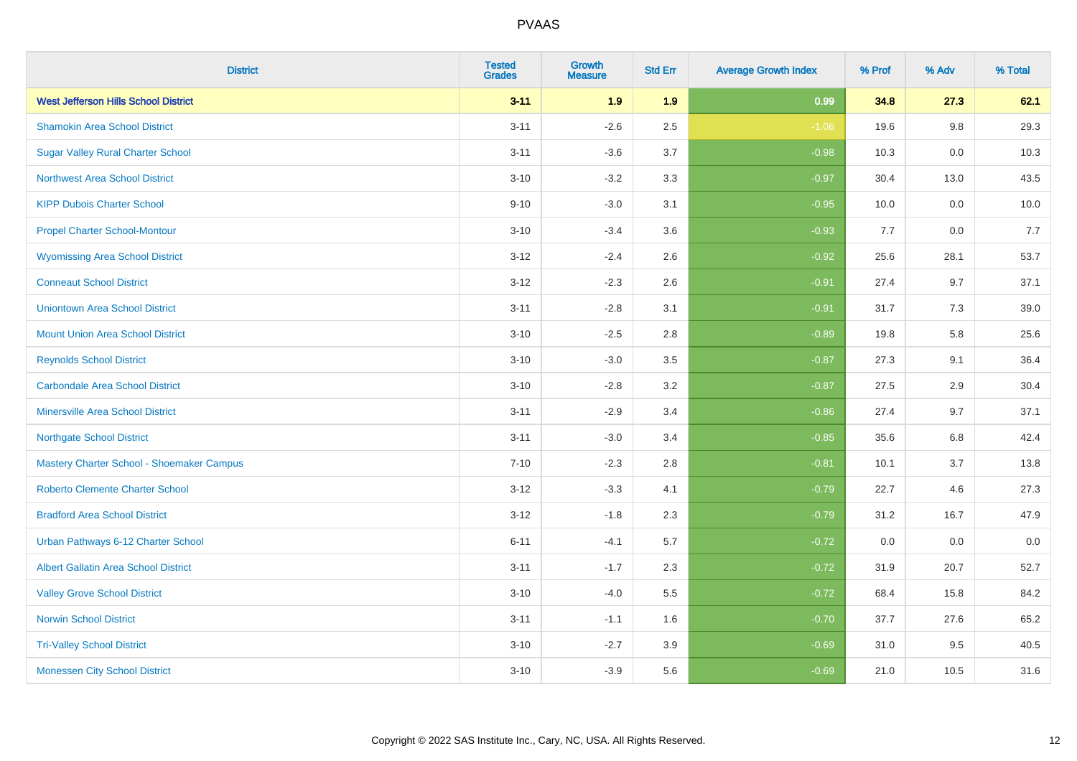| <b>District</b>                             | <b>Tested</b><br><b>Grades</b> | <b>Growth</b><br><b>Measure</b> | <b>Std Err</b> | <b>Average Growth Index</b> | % Prof | % Adv   | % Total |
|---------------------------------------------|--------------------------------|---------------------------------|----------------|-----------------------------|--------|---------|---------|
| <b>West Jefferson Hills School District</b> | $3 - 11$                       | 1.9                             | 1.9            | 0.99                        | 34.8   | 27.3    | 62.1    |
| <b>Shamokin Area School District</b>        | $3 - 11$                       | $-2.6$                          | 2.5            | $-1.06$                     | 19.6   | $9.8\,$ | 29.3    |
| <b>Sugar Valley Rural Charter School</b>    | $3 - 11$                       | $-3.6$                          | 3.7            | $-0.98$                     | 10.3   | 0.0     | 10.3    |
| <b>Northwest Area School District</b>       | $3 - 10$                       | $-3.2$                          | 3.3            | $-0.97$                     | 30.4   | 13.0    | 43.5    |
| <b>KIPP Dubois Charter School</b>           | $9 - 10$                       | $-3.0$                          | 3.1            | $-0.95$                     | 10.0   | 0.0     | 10.0    |
| <b>Propel Charter School-Montour</b>        | $3 - 10$                       | $-3.4$                          | 3.6            | $-0.93$                     | 7.7    | 0.0     | 7.7     |
| <b>Wyomissing Area School District</b>      | $3 - 12$                       | $-2.4$                          | 2.6            | $-0.92$                     | 25.6   | 28.1    | 53.7    |
| <b>Conneaut School District</b>             | $3 - 12$                       | $-2.3$                          | 2.6            | $-0.91$                     | 27.4   | 9.7     | 37.1    |
| <b>Uniontown Area School District</b>       | $3 - 11$                       | $-2.8$                          | 3.1            | $-0.91$                     | 31.7   | 7.3     | 39.0    |
| <b>Mount Union Area School District</b>     | $3 - 10$                       | $-2.5$                          | 2.8            | $-0.89$                     | 19.8   | 5.8     | 25.6    |
| <b>Reynolds School District</b>             | $3 - 10$                       | $-3.0$                          | 3.5            | $-0.87$                     | 27.3   | 9.1     | 36.4    |
| <b>Carbondale Area School District</b>      | $3 - 10$                       | $-2.8$                          | 3.2            | $-0.87$                     | 27.5   | 2.9     | 30.4    |
| Minersville Area School District            | $3 - 11$                       | $-2.9$                          | 3.4            | $-0.86$                     | 27.4   | 9.7     | 37.1    |
| <b>Northgate School District</b>            | $3 - 11$                       | $-3.0$                          | 3.4            | $-0.85$                     | 35.6   | 6.8     | 42.4    |
| Mastery Charter School - Shoemaker Campus   | $7 - 10$                       | $-2.3$                          | 2.8            | $-0.81$                     | 10.1   | 3.7     | 13.8    |
| <b>Roberto Clemente Charter School</b>      | $3 - 12$                       | $-3.3$                          | 4.1            | $-0.79$                     | 22.7   | 4.6     | 27.3    |
| <b>Bradford Area School District</b>        | $3 - 12$                       | $-1.8$                          | 2.3            | $-0.79$                     | 31.2   | 16.7    | 47.9    |
| Urban Pathways 6-12 Charter School          | $6 - 11$                       | $-4.1$                          | 5.7            | $-0.72$                     | 0.0    | 0.0     | 0.0     |
| <b>Albert Gallatin Area School District</b> | $3 - 11$                       | $-1.7$                          | 2.3            | $-0.72$                     | 31.9   | 20.7    | 52.7    |
| <b>Valley Grove School District</b>         | $3 - 10$                       | $-4.0$                          | 5.5            | $-0.72$                     | 68.4   | 15.8    | 84.2    |
| <b>Norwin School District</b>               | $3 - 11$                       | $-1.1$                          | 1.6            | $-0.70$                     | 37.7   | 27.6    | 65.2    |
| <b>Tri-Valley School District</b>           | $3 - 10$                       | $-2.7$                          | 3.9            | $-0.69$                     | 31.0   | 9.5     | 40.5    |
| <b>Monessen City School District</b>        | $3 - 10$                       | $-3.9$                          | 5.6            | $-0.69$                     | 21.0   | 10.5    | 31.6    |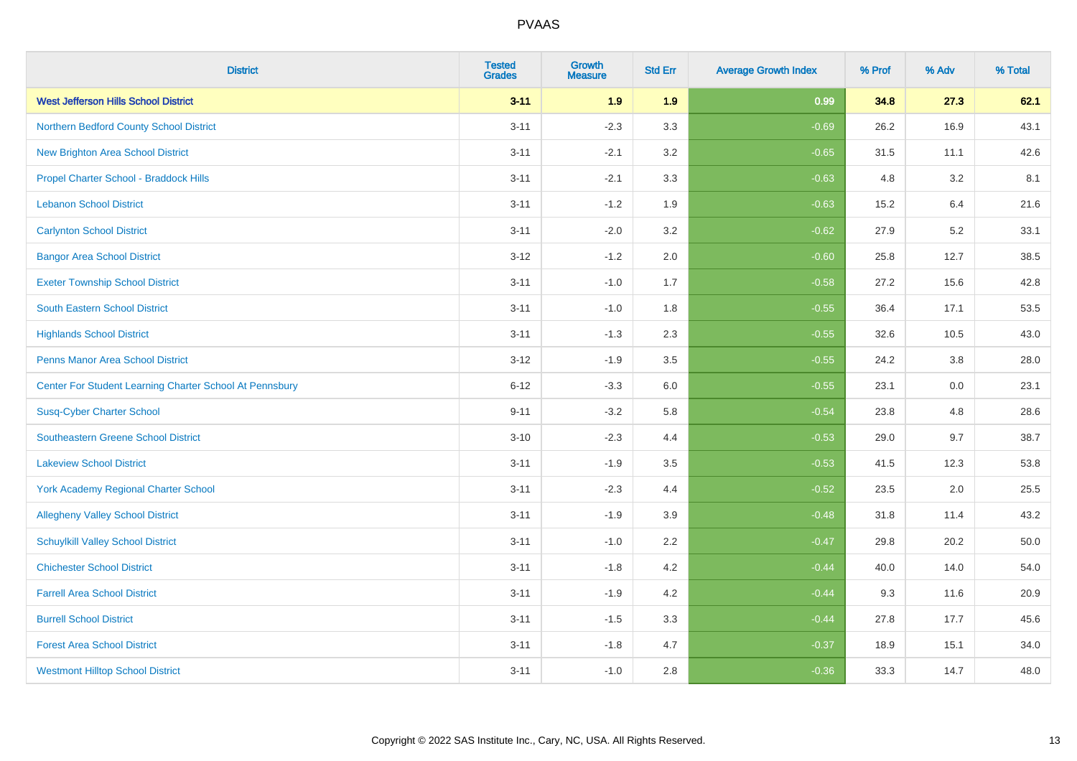| <b>District</b>                                         | <b>Tested</b><br><b>Grades</b> | <b>Growth</b><br><b>Measure</b> | <b>Std Err</b> | <b>Average Growth Index</b> | % Prof | % Adv | % Total |
|---------------------------------------------------------|--------------------------------|---------------------------------|----------------|-----------------------------|--------|-------|---------|
| <b>West Jefferson Hills School District</b>             | $3 - 11$                       | 1.9                             | 1.9            | 0.99                        | 34.8   | 27.3  | 62.1    |
| Northern Bedford County School District                 | $3 - 11$                       | $-2.3$                          | 3.3            | $-0.69$                     | 26.2   | 16.9  | 43.1    |
| <b>New Brighton Area School District</b>                | $3 - 11$                       | $-2.1$                          | 3.2            | $-0.65$                     | 31.5   | 11.1  | 42.6    |
| Propel Charter School - Braddock Hills                  | $3 - 11$                       | $-2.1$                          | 3.3            | $-0.63$                     | 4.8    | 3.2   | 8.1     |
| <b>Lebanon School District</b>                          | $3 - 11$                       | $-1.2$                          | 1.9            | $-0.63$                     | 15.2   | 6.4   | 21.6    |
| <b>Carlynton School District</b>                        | $3 - 11$                       | $-2.0$                          | 3.2            | $-0.62$                     | 27.9   | 5.2   | 33.1    |
| <b>Bangor Area School District</b>                      | $3 - 12$                       | $-1.2$                          | 2.0            | $-0.60$                     | 25.8   | 12.7  | 38.5    |
| <b>Exeter Township School District</b>                  | $3 - 11$                       | $-1.0$                          | 1.7            | $-0.58$                     | 27.2   | 15.6  | 42.8    |
| <b>South Eastern School District</b>                    | $3 - 11$                       | $-1.0$                          | 1.8            | $-0.55$                     | 36.4   | 17.1  | 53.5    |
| <b>Highlands School District</b>                        | $3 - 11$                       | $-1.3$                          | 2.3            | $-0.55$                     | 32.6   | 10.5  | 43.0    |
| Penns Manor Area School District                        | $3-12$                         | $-1.9$                          | 3.5            | $-0.55$                     | 24.2   | 3.8   | 28.0    |
| Center For Student Learning Charter School At Pennsbury | $6 - 12$                       | $-3.3$                          | 6.0            | $-0.55$                     | 23.1   | 0.0   | 23.1    |
| <b>Susq-Cyber Charter School</b>                        | $9 - 11$                       | $-3.2$                          | 5.8            | $-0.54$                     | 23.8   | 4.8   | 28.6    |
| <b>Southeastern Greene School District</b>              | $3 - 10$                       | $-2.3$                          | 4.4            | $-0.53$                     | 29.0   | 9.7   | 38.7    |
| <b>Lakeview School District</b>                         | $3 - 11$                       | $-1.9$                          | 3.5            | $-0.53$                     | 41.5   | 12.3  | 53.8    |
| <b>York Academy Regional Charter School</b>             | $3 - 11$                       | $-2.3$                          | 4.4            | $-0.52$                     | 23.5   | 2.0   | 25.5    |
| <b>Allegheny Valley School District</b>                 | $3 - 11$                       | $-1.9$                          | 3.9            | $-0.48$                     | 31.8   | 11.4  | 43.2    |
| <b>Schuylkill Valley School District</b>                | $3 - 11$                       | $-1.0$                          | 2.2            | $-0.47$                     | 29.8   | 20.2  | 50.0    |
| <b>Chichester School District</b>                       | $3 - 11$                       | $-1.8$                          | 4.2            | $-0.44$                     | 40.0   | 14.0  | 54.0    |
| <b>Farrell Area School District</b>                     | $3 - 11$                       | $-1.9$                          | 4.2            | $-0.44$                     | 9.3    | 11.6  | 20.9    |
| <b>Burrell School District</b>                          | $3 - 11$                       | $-1.5$                          | 3.3            | $-0.44$                     | 27.8   | 17.7  | 45.6    |
| <b>Forest Area School District</b>                      | $3 - 11$                       | $-1.8$                          | 4.7            | $-0.37$                     | 18.9   | 15.1  | 34.0    |
| <b>Westmont Hilltop School District</b>                 | $3 - 11$                       | $-1.0$                          | 2.8            | $-0.36$                     | 33.3   | 14.7  | 48.0    |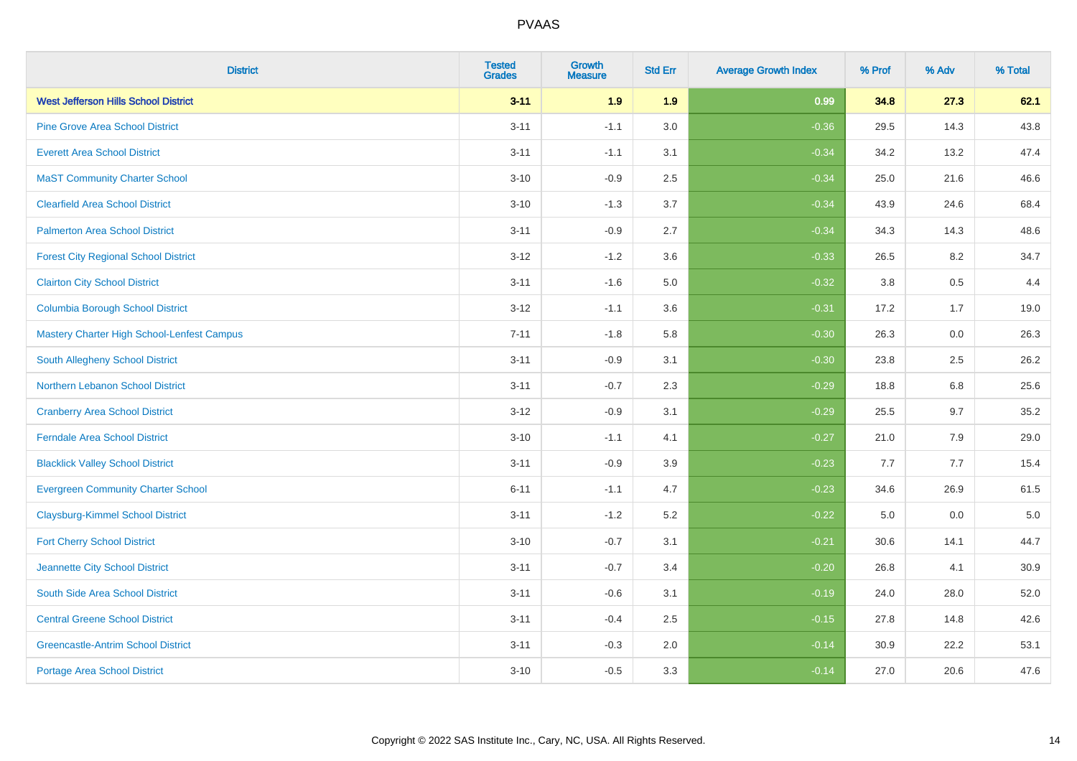| <b>District</b>                             | <b>Tested</b><br><b>Grades</b> | <b>Growth</b><br><b>Measure</b> | <b>Std Err</b> | <b>Average Growth Index</b> | % Prof | % Adv   | % Total |
|---------------------------------------------|--------------------------------|---------------------------------|----------------|-----------------------------|--------|---------|---------|
| <b>West Jefferson Hills School District</b> | $3 - 11$                       | 1.9                             | 1.9            | 0.99                        | 34.8   | 27.3    | 62.1    |
| <b>Pine Grove Area School District</b>      | $3 - 11$                       | $-1.1$                          | 3.0            | $-0.36$                     | 29.5   | 14.3    | 43.8    |
| <b>Everett Area School District</b>         | $3 - 11$                       | $-1.1$                          | 3.1            | $-0.34$                     | 34.2   | 13.2    | 47.4    |
| <b>MaST Community Charter School</b>        | $3 - 10$                       | $-0.9$                          | 2.5            | $-0.34$                     | 25.0   | 21.6    | 46.6    |
| <b>Clearfield Area School District</b>      | $3 - 10$                       | $-1.3$                          | 3.7            | $-0.34$                     | 43.9   | 24.6    | 68.4    |
| <b>Palmerton Area School District</b>       | $3 - 11$                       | $-0.9$                          | 2.7            | $-0.34$                     | 34.3   | 14.3    | 48.6    |
| <b>Forest City Regional School District</b> | $3 - 12$                       | $-1.2$                          | 3.6            | $-0.33$                     | 26.5   | 8.2     | 34.7    |
| <b>Clairton City School District</b>        | $3 - 11$                       | $-1.6$                          | 5.0            | $-0.32$                     | 3.8    | 0.5     | 4.4     |
| <b>Columbia Borough School District</b>     | $3 - 12$                       | $-1.1$                          | 3.6            | $-0.31$                     | 17.2   | 1.7     | 19.0    |
| Mastery Charter High School-Lenfest Campus  | $7 - 11$                       | $-1.8$                          | 5.8            | $-0.30$                     | 26.3   | 0.0     | 26.3    |
| South Allegheny School District             | $3 - 11$                       | $-0.9$                          | 3.1            | $-0.30$                     | 23.8   | 2.5     | 26.2    |
| <b>Northern Lebanon School District</b>     | $3 - 11$                       | $-0.7$                          | 2.3            | $-0.29$                     | 18.8   | 6.8     | 25.6    |
| <b>Cranberry Area School District</b>       | $3 - 12$                       | $-0.9$                          | 3.1            | $-0.29$                     | 25.5   | 9.7     | 35.2    |
| <b>Ferndale Area School District</b>        | $3 - 10$                       | $-1.1$                          | 4.1            | $-0.27$                     | 21.0   | 7.9     | 29.0    |
| <b>Blacklick Valley School District</b>     | $3 - 11$                       | $-0.9$                          | 3.9            | $-0.23$                     | 7.7    | 7.7     | 15.4    |
| <b>Evergreen Community Charter School</b>   | $6 - 11$                       | $-1.1$                          | 4.7            | $-0.23$                     | 34.6   | 26.9    | 61.5    |
| <b>Claysburg-Kimmel School District</b>     | $3 - 11$                       | $-1.2$                          | 5.2            | $-0.22$                     | 5.0    | $0.0\,$ | $5.0$   |
| <b>Fort Cherry School District</b>          | $3 - 10$                       | $-0.7$                          | 3.1            | $-0.21$                     | 30.6   | 14.1    | 44.7    |
| Jeannette City School District              | $3 - 11$                       | $-0.7$                          | 3.4            | $-0.20$                     | 26.8   | 4.1     | 30.9    |
| South Side Area School District             | $3 - 11$                       | $-0.6$                          | 3.1            | $-0.19$                     | 24.0   | 28.0    | 52.0    |
| <b>Central Greene School District</b>       | $3 - 11$                       | $-0.4$                          | 2.5            | $-0.15$                     | 27.8   | 14.8    | 42.6    |
| <b>Greencastle-Antrim School District</b>   | $3 - 11$                       | $-0.3$                          | 2.0            | $-0.14$                     | 30.9   | 22.2    | 53.1    |
| <b>Portage Area School District</b>         | $3 - 10$                       | $-0.5$                          | 3.3            | $-0.14$                     | 27.0   | 20.6    | 47.6    |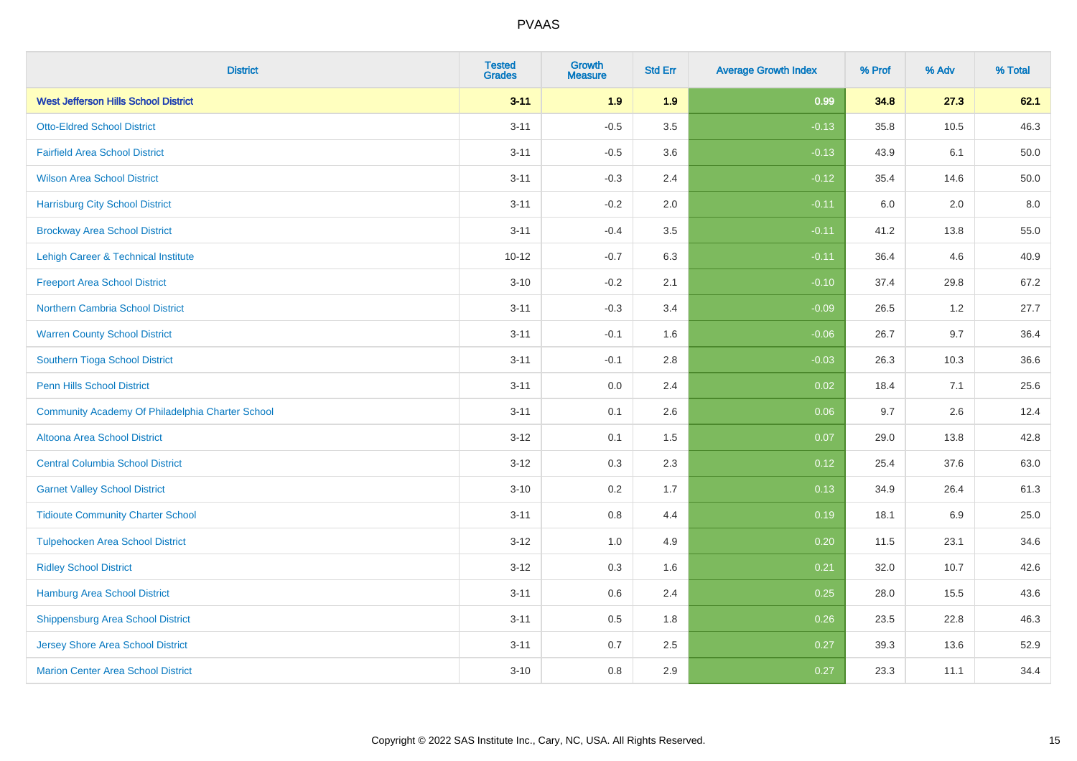| <b>District</b>                                  | <b>Tested</b><br><b>Grades</b> | <b>Growth</b><br><b>Measure</b> | <b>Std Err</b> | <b>Average Growth Index</b> | % Prof | % Adv   | % Total |
|--------------------------------------------------|--------------------------------|---------------------------------|----------------|-----------------------------|--------|---------|---------|
| <b>West Jefferson Hills School District</b>      | $3 - 11$                       | 1.9                             | 1.9            | 0.99                        | 34.8   | 27.3    | 62.1    |
| <b>Otto-Eldred School District</b>               | $3 - 11$                       | $-0.5$                          | 3.5            | $-0.13$                     | 35.8   | 10.5    | 46.3    |
| <b>Fairfield Area School District</b>            | $3 - 11$                       | $-0.5$                          | 3.6            | $-0.13$                     | 43.9   | 6.1     | 50.0    |
| <b>Wilson Area School District</b>               | $3 - 11$                       | $-0.3$                          | 2.4            | $-0.12$                     | 35.4   | 14.6    | 50.0    |
| <b>Harrisburg City School District</b>           | $3 - 11$                       | $-0.2$                          | 2.0            | $-0.11$                     | 6.0    | 2.0     | 8.0     |
| <b>Brockway Area School District</b>             | $3 - 11$                       | $-0.4$                          | 3.5            | $-0.11$                     | 41.2   | 13.8    | 55.0    |
| Lehigh Career & Technical Institute              | $10 - 12$                      | $-0.7$                          | 6.3            | $-0.11$                     | 36.4   | 4.6     | 40.9    |
| <b>Freeport Area School District</b>             | $3 - 10$                       | $-0.2$                          | 2.1            | $-0.10$                     | 37.4   | 29.8    | 67.2    |
| <b>Northern Cambria School District</b>          | $3 - 11$                       | $-0.3$                          | 3.4            | $-0.09$                     | 26.5   | 1.2     | 27.7    |
| <b>Warren County School District</b>             | $3 - 11$                       | $-0.1$                          | 1.6            | $-0.06$                     | 26.7   | 9.7     | 36.4    |
| Southern Tioga School District                   | $3 - 11$                       | $-0.1$                          | 2.8            | $-0.03$                     | 26.3   | 10.3    | 36.6    |
| <b>Penn Hills School District</b>                | $3 - 11$                       | 0.0                             | 2.4            | 0.02                        | 18.4   | 7.1     | 25.6    |
| Community Academy Of Philadelphia Charter School | $3 - 11$                       | 0.1                             | 2.6            | 0.06                        | 9.7    | $2.6\,$ | 12.4    |
| Altoona Area School District                     | $3 - 12$                       | 0.1                             | 1.5            | 0.07                        | 29.0   | 13.8    | 42.8    |
| <b>Central Columbia School District</b>          | $3 - 12$                       | 0.3                             | 2.3            | 0.12                        | 25.4   | 37.6    | 63.0    |
| <b>Garnet Valley School District</b>             | $3 - 10$                       | 0.2                             | 1.7            | 0.13                        | 34.9   | 26.4    | 61.3    |
| <b>Tidioute Community Charter School</b>         | $3 - 11$                       | 0.8                             | 4.4            | 0.19                        | 18.1   | 6.9     | 25.0    |
| <b>Tulpehocken Area School District</b>          | $3 - 12$                       | 1.0                             | 4.9            | 0.20                        | 11.5   | 23.1    | 34.6    |
| <b>Ridley School District</b>                    | $3 - 12$                       | 0.3                             | 1.6            | 0.21                        | 32.0   | 10.7    | 42.6    |
| Hamburg Area School District                     | $3 - 11$                       | 0.6                             | 2.4            | 0.25                        | 28.0   | 15.5    | 43.6    |
| <b>Shippensburg Area School District</b>         | $3 - 11$                       | 0.5                             | 1.8            | 0.26                        | 23.5   | 22.8    | 46.3    |
| <b>Jersey Shore Area School District</b>         | $3 - 11$                       | 0.7                             | 2.5            | 0.27                        | 39.3   | 13.6    | 52.9    |
| <b>Marion Center Area School District</b>        | $3 - 10$                       | 0.8                             | 2.9            | 0.27                        | 23.3   | 11.1    | 34.4    |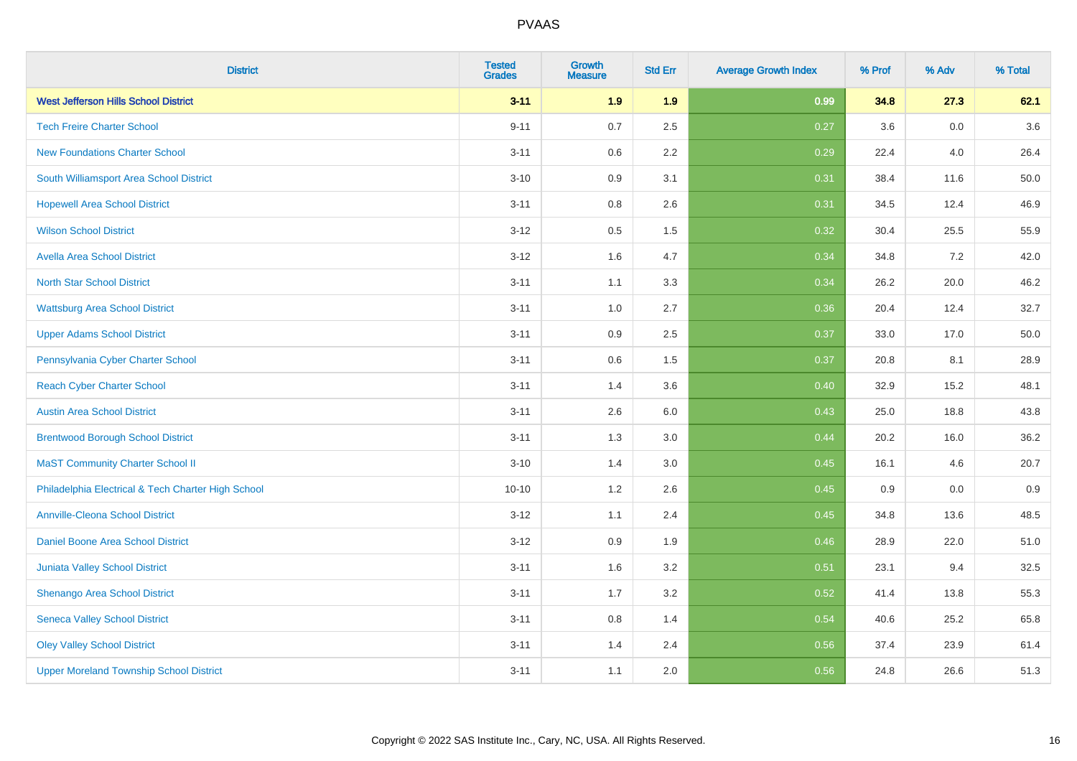| <b>District</b>                                    | <b>Tested</b><br><b>Grades</b> | <b>Growth</b><br><b>Measure</b> | <b>Std Err</b> | <b>Average Growth Index</b> | % Prof | % Adv   | % Total |
|----------------------------------------------------|--------------------------------|---------------------------------|----------------|-----------------------------|--------|---------|---------|
| <b>West Jefferson Hills School District</b>        | $3 - 11$                       | 1.9                             | 1.9            | 0.99                        | 34.8   | 27.3    | 62.1    |
| <b>Tech Freire Charter School</b>                  | $9 - 11$                       | 0.7                             | 2.5            | 0.27                        | 3.6    | 0.0     | 3.6     |
| <b>New Foundations Charter School</b>              | $3 - 11$                       | 0.6                             | 2.2            | 0.29                        | 22.4   | 4.0     | 26.4    |
| South Williamsport Area School District            | $3 - 10$                       | 0.9                             | 3.1            | 0.31                        | 38.4   | 11.6    | 50.0    |
| <b>Hopewell Area School District</b>               | $3 - 11$                       | 0.8                             | 2.6            | 0.31                        | 34.5   | 12.4    | 46.9    |
| <b>Wilson School District</b>                      | $3 - 12$                       | 0.5                             | 1.5            | 0.32                        | 30.4   | 25.5    | 55.9    |
| <b>Avella Area School District</b>                 | $3 - 12$                       | 1.6                             | 4.7            | 0.34                        | 34.8   | 7.2     | 42.0    |
| <b>North Star School District</b>                  | $3 - 11$                       | 1.1                             | 3.3            | 0.34                        | 26.2   | 20.0    | 46.2    |
| <b>Wattsburg Area School District</b>              | $3 - 11$                       | 1.0                             | 2.7            | 0.36                        | 20.4   | 12.4    | 32.7    |
| <b>Upper Adams School District</b>                 | $3 - 11$                       | 0.9                             | 2.5            | 0.37                        | 33.0   | 17.0    | 50.0    |
| Pennsylvania Cyber Charter School                  | $3 - 11$                       | 0.6                             | 1.5            | 0.37                        | 20.8   | 8.1     | 28.9    |
| <b>Reach Cyber Charter School</b>                  | $3 - 11$                       | 1.4                             | 3.6            | 0.40                        | 32.9   | 15.2    | 48.1    |
| <b>Austin Area School District</b>                 | $3 - 11$                       | 2.6                             | 6.0            | 0.43                        | 25.0   | 18.8    | 43.8    |
| <b>Brentwood Borough School District</b>           | $3 - 11$                       | 1.3                             | 3.0            | 0.44                        | 20.2   | 16.0    | 36.2    |
| <b>MaST Community Charter School II</b>            | $3 - 10$                       | 1.4                             | 3.0            | 0.45                        | 16.1   | 4.6     | 20.7    |
| Philadelphia Electrical & Tech Charter High School | $10 - 10$                      | 1.2                             | 2.6            | 0.45                        | 0.9    | $0.0\,$ | 0.9     |
| <b>Annville-Cleona School District</b>             | $3 - 12$                       | 1.1                             | 2.4            | 0.45                        | 34.8   | 13.6    | 48.5    |
| Daniel Boone Area School District                  | $3 - 12$                       | 0.9                             | 1.9            | 0.46                        | 28.9   | 22.0    | 51.0    |
| Juniata Valley School District                     | $3 - 11$                       | 1.6                             | 3.2            | 0.51                        | 23.1   | 9.4     | 32.5    |
| Shenango Area School District                      | $3 - 11$                       | 1.7                             | 3.2            | 0.52                        | 41.4   | 13.8    | 55.3    |
| <b>Seneca Valley School District</b>               | $3 - 11$                       | $0.8\,$                         | 1.4            | 0.54                        | 40.6   | 25.2    | 65.8    |
| <b>Oley Valley School District</b>                 | $3 - 11$                       | 1.4                             | 2.4            | 0.56                        | 37.4   | 23.9    | 61.4    |
| <b>Upper Moreland Township School District</b>     | $3 - 11$                       | 1.1                             | 2.0            | 0.56                        | 24.8   | 26.6    | 51.3    |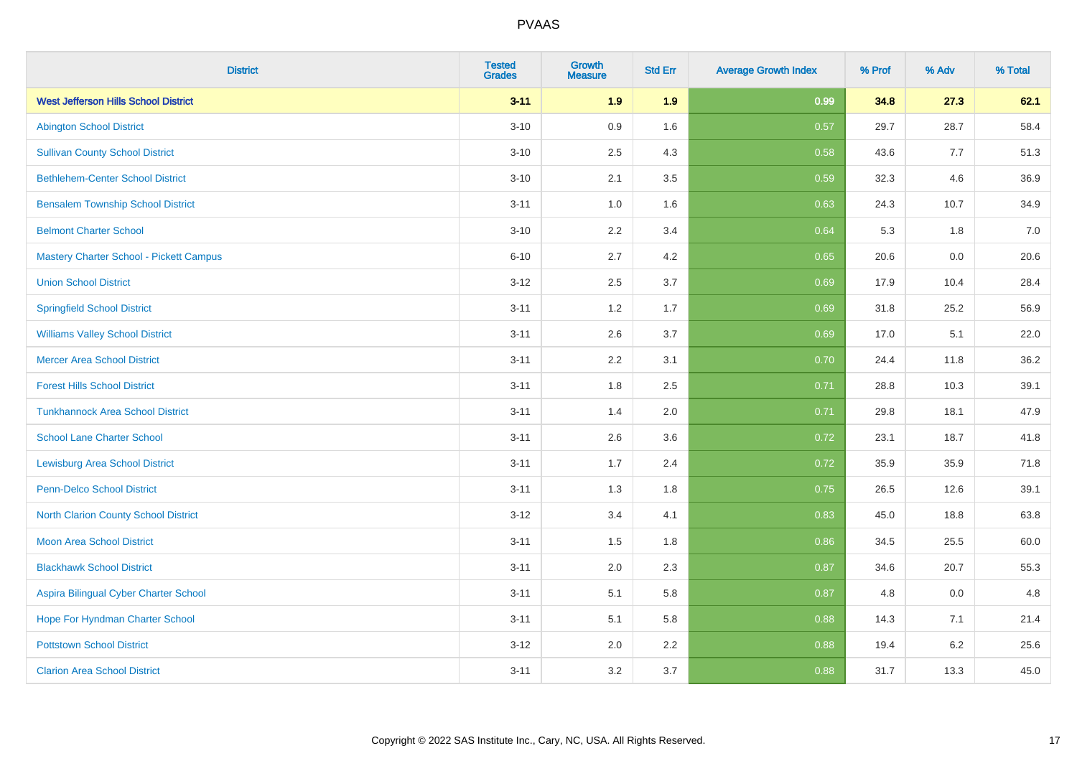| <b>District</b>                             | <b>Tested</b><br><b>Grades</b> | <b>Growth</b><br><b>Measure</b> | <b>Std Err</b> | <b>Average Growth Index</b> | % Prof | % Adv   | % Total |
|---------------------------------------------|--------------------------------|---------------------------------|----------------|-----------------------------|--------|---------|---------|
| <b>West Jefferson Hills School District</b> | $3 - 11$                       | 1.9                             | 1.9            | 0.99                        | 34.8   | 27.3    | 62.1    |
| <b>Abington School District</b>             | $3 - 10$                       | 0.9                             | 1.6            | 0.57                        | 29.7   | 28.7    | 58.4    |
| <b>Sullivan County School District</b>      | $3 - 10$                       | 2.5                             | 4.3            | 0.58                        | 43.6   | 7.7     | 51.3    |
| <b>Bethlehem-Center School District</b>     | $3 - 10$                       | 2.1                             | 3.5            | 0.59                        | 32.3   | 4.6     | 36.9    |
| <b>Bensalem Township School District</b>    | $3 - 11$                       | 1.0                             | 1.6            | 0.63                        | 24.3   | 10.7    | 34.9    |
| <b>Belmont Charter School</b>               | $3 - 10$                       | 2.2                             | 3.4            | 0.64                        | 5.3    | 1.8     | 7.0     |
| Mastery Charter School - Pickett Campus     | $6 - 10$                       | 2.7                             | 4.2            | 0.65                        | 20.6   | 0.0     | 20.6    |
| <b>Union School District</b>                | $3 - 12$                       | 2.5                             | 3.7            | 0.69                        | 17.9   | 10.4    | 28.4    |
| <b>Springfield School District</b>          | $3 - 11$                       | 1.2                             | 1.7            | 0.69                        | 31.8   | 25.2    | 56.9    |
| <b>Williams Valley School District</b>      | $3 - 11$                       | 2.6                             | 3.7            | 0.69                        | 17.0   | 5.1     | 22.0    |
| <b>Mercer Area School District</b>          | $3 - 11$                       | 2.2                             | 3.1            | 0.70                        | 24.4   | 11.8    | 36.2    |
| <b>Forest Hills School District</b>         | $3 - 11$                       | 1.8                             | 2.5            | 0.71                        | 28.8   | 10.3    | 39.1    |
| <b>Tunkhannock Area School District</b>     | $3 - 11$                       | 1.4                             | 2.0            | 0.71                        | 29.8   | 18.1    | 47.9    |
| <b>School Lane Charter School</b>           | $3 - 11$                       | 2.6                             | 3.6            | 0.72                        | 23.1   | 18.7    | 41.8    |
| <b>Lewisburg Area School District</b>       | $3 - 11$                       | 1.7                             | 2.4            | 0.72                        | 35.9   | 35.9    | 71.8    |
| Penn-Delco School District                  | $3 - 11$                       | 1.3                             | 1.8            | 0.75                        | 26.5   | 12.6    | 39.1    |
| <b>North Clarion County School District</b> | $3 - 12$                       | 3.4                             | 4.1            | 0.83                        | 45.0   | 18.8    | 63.8    |
| <b>Moon Area School District</b>            | $3 - 11$                       | 1.5                             | 1.8            | 0.86                        | 34.5   | 25.5    | 60.0    |
| <b>Blackhawk School District</b>            | $3 - 11$                       | 2.0                             | 2.3            | 0.87                        | 34.6   | 20.7    | 55.3    |
| Aspira Bilingual Cyber Charter School       | $3 - 11$                       | 5.1                             | 5.8            | 0.87                        | 4.8    | 0.0     | 4.8     |
| Hope For Hyndman Charter School             | $3 - 11$                       | 5.1                             | 5.8            | 0.88                        | 14.3   | 7.1     | 21.4    |
| <b>Pottstown School District</b>            | $3 - 12$                       | 2.0                             | 2.2            | 0.88                        | 19.4   | $6.2\,$ | 25.6    |
| <b>Clarion Area School District</b>         | $3 - 11$                       | 3.2                             | 3.7            | 0.88                        | 31.7   | 13.3    | 45.0    |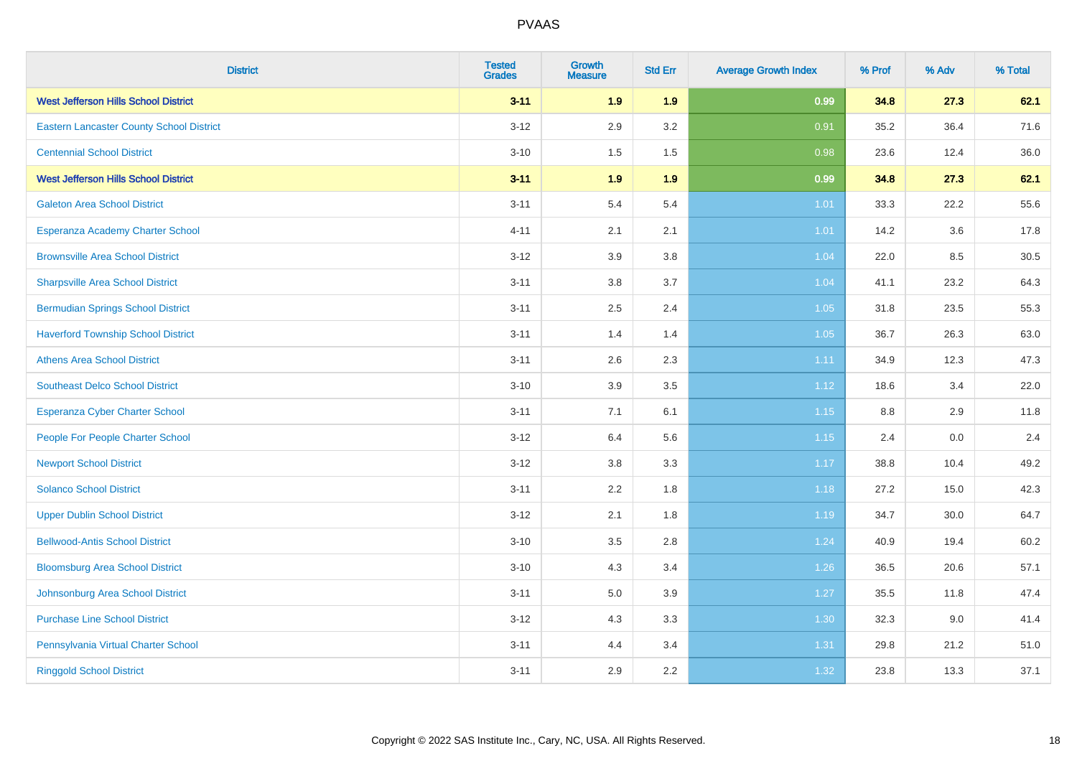| <b>District</b>                                 | <b>Tested</b><br><b>Grades</b> | Growth<br><b>Measure</b> | <b>Std Err</b> | <b>Average Growth Index</b> | % Prof | % Adv | % Total |
|-------------------------------------------------|--------------------------------|--------------------------|----------------|-----------------------------|--------|-------|---------|
| <b>West Jefferson Hills School District</b>     | $3 - 11$                       | 1.9                      | 1.9            | 0.99                        | 34.8   | 27.3  | 62.1    |
| <b>Eastern Lancaster County School District</b> | $3 - 12$                       | 2.9                      | 3.2            | 0.91                        | 35.2   | 36.4  | 71.6    |
| <b>Centennial School District</b>               | $3 - 10$                       | 1.5                      | 1.5            | 0.98                        | 23.6   | 12.4  | 36.0    |
| <b>West Jefferson Hills School District</b>     | $3 - 11$                       | 1.9                      | 1.9            | 0.99                        | 34.8   | 27.3  | 62.1    |
| <b>Galeton Area School District</b>             | $3 - 11$                       | 5.4                      | 5.4            | 1.01                        | 33.3   | 22.2  | 55.6    |
| Esperanza Academy Charter School                | $4 - 11$                       | 2.1                      | 2.1            | 1.01                        | 14.2   | 3.6   | 17.8    |
| <b>Brownsville Area School District</b>         | $3 - 12$                       | 3.9                      | 3.8            | 1.04                        | 22.0   | 8.5   | 30.5    |
| <b>Sharpsville Area School District</b>         | $3 - 11$                       | 3.8                      | 3.7            | 1.04                        | 41.1   | 23.2  | 64.3    |
| <b>Bermudian Springs School District</b>        | $3 - 11$                       | 2.5                      | 2.4            | 1.05                        | 31.8   | 23.5  | 55.3    |
| <b>Haverford Township School District</b>       | $3 - 11$                       | 1.4                      | 1.4            | 1.05                        | 36.7   | 26.3  | 63.0    |
| <b>Athens Area School District</b>              | $3 - 11$                       | 2.6                      | 2.3            | 1.11                        | 34.9   | 12.3  | 47.3    |
| <b>Southeast Delco School District</b>          | $3 - 10$                       | 3.9                      | 3.5            | 1.12                        | 18.6   | 3.4   | 22.0    |
| Esperanza Cyber Charter School                  | $3 - 11$                       | 7.1                      | 6.1            | 1.15                        | 8.8    | 2.9   | 11.8    |
| People For People Charter School                | $3 - 12$                       | 6.4                      | 5.6            | 1.15                        | 2.4    | 0.0   | 2.4     |
| <b>Newport School District</b>                  | $3 - 12$                       | $3.8\,$                  | 3.3            | 1.17                        | 38.8   | 10.4  | 49.2    |
| <b>Solanco School District</b>                  | $3 - 11$                       | 2.2                      | 1.8            | 1.18                        | 27.2   | 15.0  | 42.3    |
| <b>Upper Dublin School District</b>             | $3 - 12$                       | 2.1                      | 1.8            | 1.19                        | 34.7   | 30.0  | 64.7    |
| <b>Bellwood-Antis School District</b>           | $3 - 10$                       | 3.5                      | 2.8            | 1.24                        | 40.9   | 19.4  | 60.2    |
| <b>Bloomsburg Area School District</b>          | $3 - 10$                       | 4.3                      | 3.4            | 1.26                        | 36.5   | 20.6  | 57.1    |
| Johnsonburg Area School District                | $3 - 11$                       | 5.0                      | 3.9            | 1.27                        | 35.5   | 11.8  | 47.4    |
| <b>Purchase Line School District</b>            | $3 - 12$                       | 4.3                      | 3.3            | 1.30                        | 32.3   | 9.0   | 41.4    |
| Pennsylvania Virtual Charter School             | $3 - 11$                       | 4.4                      | 3.4            | 1.31                        | 29.8   | 21.2  | 51.0    |
| <b>Ringgold School District</b>                 | $3 - 11$                       | 2.9                      | 2.2            | 1.32                        | 23.8   | 13.3  | 37.1    |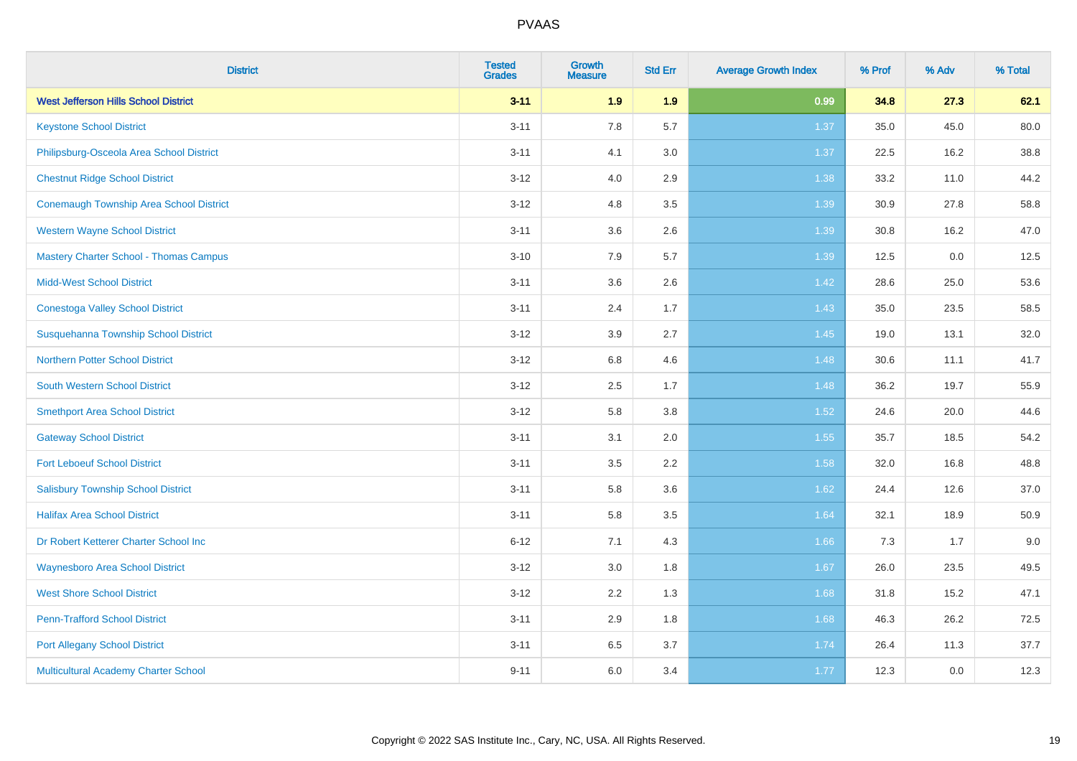| <b>District</b>                                | <b>Tested</b><br><b>Grades</b> | <b>Growth</b><br><b>Measure</b> | <b>Std Err</b> | <b>Average Growth Index</b> | % Prof | % Adv | % Total |
|------------------------------------------------|--------------------------------|---------------------------------|----------------|-----------------------------|--------|-------|---------|
| <b>West Jefferson Hills School District</b>    | $3 - 11$                       | 1.9                             | 1.9            | 0.99                        | 34.8   | 27.3  | 62.1    |
| <b>Keystone School District</b>                | $3 - 11$                       | 7.8                             | 5.7            | 1.37                        | 35.0   | 45.0  | 80.0    |
| Philipsburg-Osceola Area School District       | $3 - 11$                       | 4.1                             | 3.0            | 1.37                        | 22.5   | 16.2  | 38.8    |
| <b>Chestnut Ridge School District</b>          | $3 - 12$                       | 4.0                             | 2.9            | 1.38                        | 33.2   | 11.0  | 44.2    |
| <b>Conemaugh Township Area School District</b> | $3 - 12$                       | 4.8                             | 3.5            | 1.39                        | 30.9   | 27.8  | 58.8    |
| <b>Western Wayne School District</b>           | $3 - 11$                       | 3.6                             | 2.6            | 1.39                        | 30.8   | 16.2  | 47.0    |
| <b>Mastery Charter School - Thomas Campus</b>  | $3 - 10$                       | 7.9                             | 5.7            | 1.39                        | 12.5   | 0.0   | 12.5    |
| <b>Midd-West School District</b>               | $3 - 11$                       | 3.6                             | 2.6            | 1.42                        | 28.6   | 25.0  | 53.6    |
| <b>Conestoga Valley School District</b>        | $3 - 11$                       | 2.4                             | 1.7            | 1.43                        | 35.0   | 23.5  | 58.5    |
| Susquehanna Township School District           | $3 - 12$                       | 3.9                             | 2.7            | 1.45                        | 19.0   | 13.1  | 32.0    |
| <b>Northern Potter School District</b>         | $3 - 12$                       | 6.8                             | 4.6            | 1.48                        | 30.6   | 11.1  | 41.7    |
| <b>South Western School District</b>           | $3 - 12$                       | 2.5                             | 1.7            | 1.48                        | 36.2   | 19.7  | 55.9    |
| <b>Smethport Area School District</b>          | $3 - 12$                       | 5.8                             | 3.8            | 1.52                        | 24.6   | 20.0  | 44.6    |
| <b>Gateway School District</b>                 | $3 - 11$                       | 3.1                             | 2.0            | 1.55                        | 35.7   | 18.5  | 54.2    |
| <b>Fort Leboeuf School District</b>            | $3 - 11$                       | 3.5                             | 2.2            | 1.58                        | 32.0   | 16.8  | 48.8    |
| <b>Salisbury Township School District</b>      | $3 - 11$                       | 5.8                             | 3.6            | 1.62                        | 24.4   | 12.6  | 37.0    |
| <b>Halifax Area School District</b>            | $3 - 11$                       | 5.8                             | 3.5            | 1.64                        | 32.1   | 18.9  | 50.9    |
| Dr Robert Ketterer Charter School Inc          | $6 - 12$                       | 7.1                             | 4.3            | 1.66                        | 7.3    | 1.7   | 9.0     |
| <b>Waynesboro Area School District</b>         | $3 - 12$                       | 3.0                             | 1.8            | 1.67                        | 26.0   | 23.5  | 49.5    |
| <b>West Shore School District</b>              | $3 - 12$                       | 2.2                             | 1.3            | 1.68                        | 31.8   | 15.2  | 47.1    |
| <b>Penn-Trafford School District</b>           | $3 - 11$                       | 2.9                             | 1.8            | 1.68                        | 46.3   | 26.2  | 72.5    |
| <b>Port Allegany School District</b>           | $3 - 11$                       | 6.5                             | 3.7            | 1.74                        | 26.4   | 11.3  | 37.7    |
| <b>Multicultural Academy Charter School</b>    | $9 - 11$                       | 6.0                             | 3.4            | 1.77                        | 12.3   | 0.0   | 12.3    |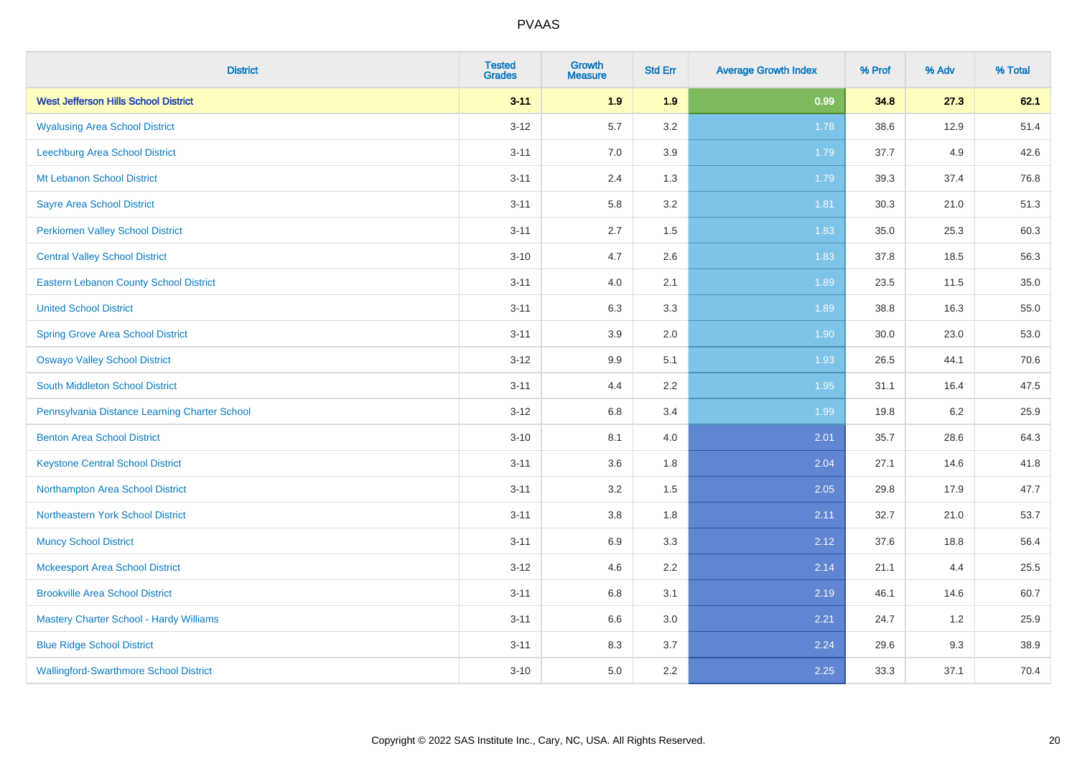| <b>District</b>                               | <b>Tested</b><br><b>Grades</b> | <b>Growth</b><br><b>Measure</b> | <b>Std Err</b> | <b>Average Growth Index</b> | % Prof | % Adv | % Total |
|-----------------------------------------------|--------------------------------|---------------------------------|----------------|-----------------------------|--------|-------|---------|
| <b>West Jefferson Hills School District</b>   | $3 - 11$                       | 1.9                             | 1.9            | 0.99                        | 34.8   | 27.3  | 62.1    |
| <b>Wyalusing Area School District</b>         | $3 - 12$                       | 5.7                             | 3.2            | 1.78                        | 38.6   | 12.9  | 51.4    |
| Leechburg Area School District                | $3 - 11$                       | 7.0                             | 3.9            | 1.79                        | 37.7   | 4.9   | 42.6    |
| Mt Lebanon School District                    | $3 - 11$                       | 2.4                             | 1.3            | 1.79                        | 39.3   | 37.4  | 76.8    |
| <b>Sayre Area School District</b>             | $3 - 11$                       | 5.8                             | 3.2            | 1.81                        | 30.3   | 21.0  | 51.3    |
| <b>Perkiomen Valley School District</b>       | $3 - 11$                       | 2.7                             | 1.5            | 1.83                        | 35.0   | 25.3  | 60.3    |
| <b>Central Valley School District</b>         | $3 - 10$                       | 4.7                             | 2.6            | 1.83                        | 37.8   | 18.5  | 56.3    |
| <b>Eastern Lebanon County School District</b> | $3 - 11$                       | 4.0                             | 2.1            | 1.89                        | 23.5   | 11.5  | 35.0    |
| <b>United School District</b>                 | $3 - 11$                       | 6.3                             | 3.3            | 1.89                        | 38.8   | 16.3  | 55.0    |
| <b>Spring Grove Area School District</b>      | $3 - 11$                       | 3.9                             | 2.0            | 1.90                        | 30.0   | 23.0  | 53.0    |
| <b>Oswayo Valley School District</b>          | $3 - 12$                       | 9.9                             | 5.1            | 1.93                        | 26.5   | 44.1  | 70.6    |
| South Middleton School District               | $3 - 11$                       | 4.4                             | 2.2            | 1.95                        | 31.1   | 16.4  | 47.5    |
| Pennsylvania Distance Learning Charter School | $3 - 12$                       | $6.8\,$                         | 3.4            | 1.99                        | 19.8   | 6.2   | 25.9    |
| <b>Benton Area School District</b>            | $3 - 10$                       | 8.1                             | 4.0            | 2.01                        | 35.7   | 28.6  | 64.3    |
| <b>Keystone Central School District</b>       | $3 - 11$                       | 3.6                             | 1.8            | 2.04                        | 27.1   | 14.6  | 41.8    |
| Northampton Area School District              | $3 - 11$                       | 3.2                             | 1.5            | 2.05                        | 29.8   | 17.9  | 47.7    |
| Northeastern York School District             | $3 - 11$                       | 3.8                             | 1.8            | 2.11                        | 32.7   | 21.0  | 53.7    |
| <b>Muncy School District</b>                  | $3 - 11$                       | 6.9                             | 3.3            | 2.12                        | 37.6   | 18.8  | 56.4    |
| <b>Mckeesport Area School District</b>        | $3 - 12$                       | 4.6                             | 2.2            | 2.14                        | 21.1   | 4.4   | 25.5    |
| <b>Brookville Area School District</b>        | $3 - 11$                       | $6.8\,$                         | 3.1            | 2.19                        | 46.1   | 14.6  | 60.7    |
| Mastery Charter School - Hardy Williams       | $3 - 11$                       | 6.6                             | 3.0            | 2.21                        | 24.7   | 1.2   | 25.9    |
| <b>Blue Ridge School District</b>             | $3 - 11$                       | 8.3                             | 3.7            | 2.24                        | 29.6   | 9.3   | 38.9    |
| <b>Wallingford-Swarthmore School District</b> | $3 - 10$                       | 5.0                             | 2.2            | 2.25                        | 33.3   | 37.1  | 70.4    |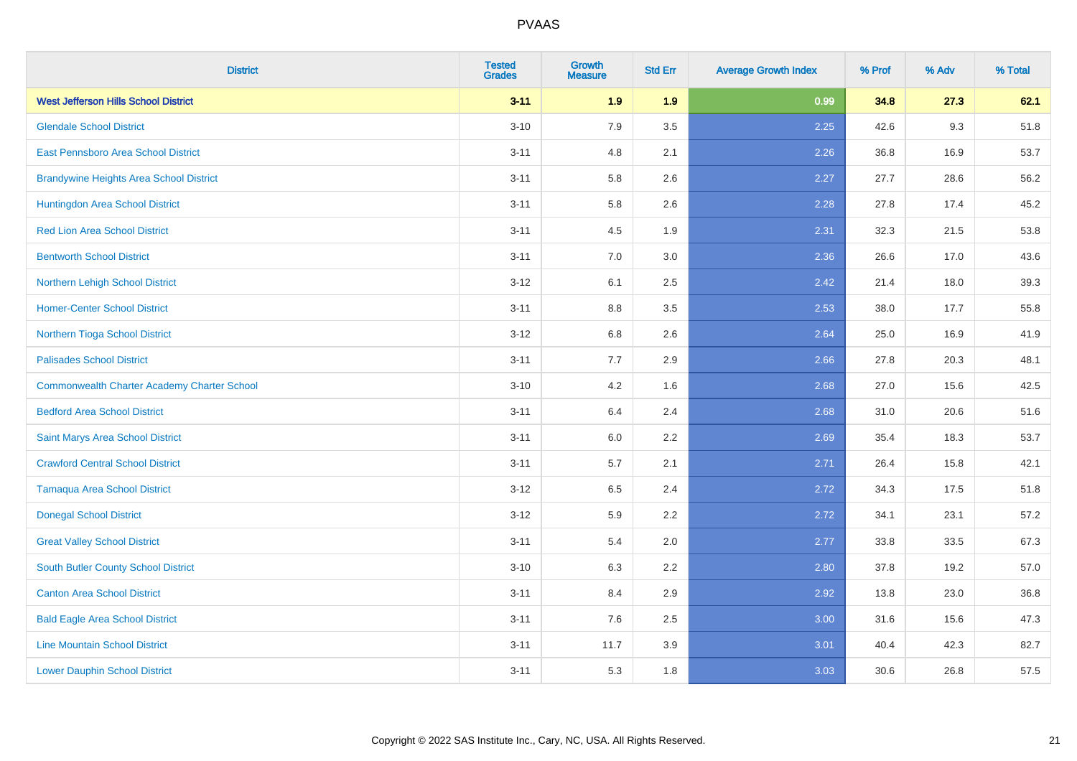| <b>District</b>                                    | <b>Tested</b><br><b>Grades</b> | <b>Growth</b><br><b>Measure</b> | <b>Std Err</b> | <b>Average Growth Index</b> | % Prof | % Adv | % Total |
|----------------------------------------------------|--------------------------------|---------------------------------|----------------|-----------------------------|--------|-------|---------|
| <b>West Jefferson Hills School District</b>        | $3 - 11$                       | 1.9                             | 1.9            | 0.99                        | 34.8   | 27.3  | 62.1    |
| <b>Glendale School District</b>                    | $3 - 10$                       | 7.9                             | 3.5            | 2.25                        | 42.6   | 9.3   | 51.8    |
| East Pennsboro Area School District                | $3 - 11$                       | 4.8                             | 2.1            | 2.26                        | 36.8   | 16.9  | 53.7    |
| <b>Brandywine Heights Area School District</b>     | $3 - 11$                       | 5.8                             | 2.6            | 2.27                        | 27.7   | 28.6  | 56.2    |
| Huntingdon Area School District                    | $3 - 11$                       | 5.8                             | 2.6            | 2.28                        | 27.8   | 17.4  | 45.2    |
| <b>Red Lion Area School District</b>               | $3 - 11$                       | 4.5                             | 1.9            | 2.31                        | 32.3   | 21.5  | 53.8    |
| <b>Bentworth School District</b>                   | $3 - 11$                       | 7.0                             | 3.0            | 2.36                        | 26.6   | 17.0  | 43.6    |
| Northern Lehigh School District                    | $3 - 12$                       | 6.1                             | 2.5            | 2.42                        | 21.4   | 18.0  | 39.3    |
| <b>Homer-Center School District</b>                | $3 - 11$                       | 8.8                             | 3.5            | 2.53                        | 38.0   | 17.7  | 55.8    |
| Northern Tioga School District                     | $3-12$                         | 6.8                             | 2.6            | 2.64                        | 25.0   | 16.9  | 41.9    |
| <b>Palisades School District</b>                   | $3 - 11$                       | 7.7                             | 2.9            | 2.66                        | 27.8   | 20.3  | 48.1    |
| <b>Commonwealth Charter Academy Charter School</b> | $3 - 10$                       | 4.2                             | 1.6            | 2.68                        | 27.0   | 15.6  | 42.5    |
| <b>Bedford Area School District</b>                | $3 - 11$                       | 6.4                             | 2.4            | 2.68                        | 31.0   | 20.6  | 51.6    |
| Saint Marys Area School District                   | $3 - 11$                       | 6.0                             | 2.2            | 2.69                        | 35.4   | 18.3  | 53.7    |
| <b>Crawford Central School District</b>            | $3 - 11$                       | 5.7                             | 2.1            | 2.71                        | 26.4   | 15.8  | 42.1    |
| <b>Tamaqua Area School District</b>                | $3 - 12$                       | 6.5                             | 2.4            | 2.72                        | 34.3   | 17.5  | 51.8    |
| <b>Donegal School District</b>                     | $3 - 12$                       | 5.9                             | 2.2            | 2.72                        | 34.1   | 23.1  | 57.2    |
| <b>Great Valley School District</b>                | $3 - 11$                       | 5.4                             | 2.0            | 2.77                        | 33.8   | 33.5  | 67.3    |
| <b>South Butler County School District</b>         | $3 - 10$                       | 6.3                             | 2.2            | 2.80                        | 37.8   | 19.2  | 57.0    |
| <b>Canton Area School District</b>                 | $3 - 11$                       | 8.4                             | 2.9            | 2.92                        | 13.8   | 23.0  | 36.8    |
| <b>Bald Eagle Area School District</b>             | $3 - 11$                       | 7.6                             | 2.5            | 3.00                        | 31.6   | 15.6  | 47.3    |
| <b>Line Mountain School District</b>               | $3 - 11$                       | 11.7                            | 3.9            | 3.01                        | 40.4   | 42.3  | 82.7    |
| <b>Lower Dauphin School District</b>               | $3 - 11$                       | 5.3                             | 1.8            | 3.03                        | 30.6   | 26.8  | 57.5    |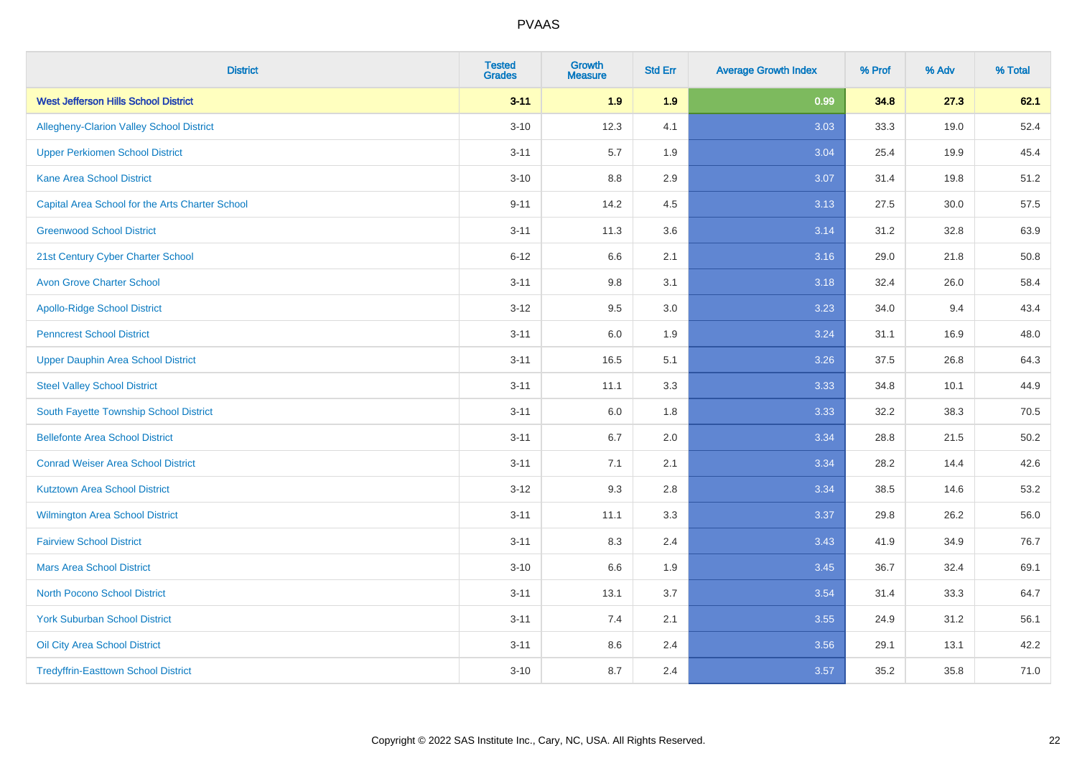| <b>District</b>                                 | <b>Tested</b><br><b>Grades</b> | <b>Growth</b><br><b>Measure</b> | <b>Std Err</b> | <b>Average Growth Index</b> | % Prof | % Adv | % Total |
|-------------------------------------------------|--------------------------------|---------------------------------|----------------|-----------------------------|--------|-------|---------|
| <b>West Jefferson Hills School District</b>     | $3 - 11$                       | 1.9                             | 1.9            | 0.99                        | 34.8   | 27.3  | 62.1    |
| <b>Allegheny-Clarion Valley School District</b> | $3 - 10$                       | 12.3                            | 4.1            | 3.03                        | 33.3   | 19.0  | 52.4    |
| <b>Upper Perkiomen School District</b>          | $3 - 11$                       | 5.7                             | 1.9            | 3.04                        | 25.4   | 19.9  | 45.4    |
| <b>Kane Area School District</b>                | $3 - 10$                       | 8.8                             | 2.9            | 3.07                        | 31.4   | 19.8  | 51.2    |
| Capital Area School for the Arts Charter School | $9 - 11$                       | 14.2                            | 4.5            | 3.13                        | 27.5   | 30.0  | 57.5    |
| <b>Greenwood School District</b>                | $3 - 11$                       | 11.3                            | 3.6            | 3.14                        | 31.2   | 32.8  | 63.9    |
| 21st Century Cyber Charter School               | $6 - 12$                       | 6.6                             | 2.1            | 3.16                        | 29.0   | 21.8  | 50.8    |
| <b>Avon Grove Charter School</b>                | $3 - 11$                       | 9.8                             | 3.1            | 3.18                        | 32.4   | 26.0  | 58.4    |
| <b>Apollo-Ridge School District</b>             | $3 - 12$                       | 9.5                             | 3.0            | 3.23                        | 34.0   | 9.4   | 43.4    |
| <b>Penncrest School District</b>                | $3 - 11$                       | 6.0                             | 1.9            | 3.24                        | 31.1   | 16.9  | 48.0    |
| <b>Upper Dauphin Area School District</b>       | $3 - 11$                       | 16.5                            | 5.1            | 3.26                        | 37.5   | 26.8  | 64.3    |
| <b>Steel Valley School District</b>             | $3 - 11$                       | 11.1                            | 3.3            | 3.33                        | 34.8   | 10.1  | 44.9    |
| South Fayette Township School District          | $3 - 11$                       | 6.0                             | 1.8            | 3.33                        | 32.2   | 38.3  | 70.5    |
| <b>Bellefonte Area School District</b>          | $3 - 11$                       | 6.7                             | 2.0            | 3.34                        | 28.8   | 21.5  | 50.2    |
| <b>Conrad Weiser Area School District</b>       | $3 - 11$                       | 7.1                             | 2.1            | 3.34                        | 28.2   | 14.4  | 42.6    |
| <b>Kutztown Area School District</b>            | $3 - 12$                       | 9.3                             | 2.8            | 3.34                        | 38.5   | 14.6  | 53.2    |
| Wilmington Area School District                 | $3 - 11$                       | 11.1                            | 3.3            | 3.37                        | 29.8   | 26.2  | 56.0    |
| <b>Fairview School District</b>                 | $3 - 11$                       | 8.3                             | 2.4            | 3.43                        | 41.9   | 34.9  | 76.7    |
| <b>Mars Area School District</b>                | $3 - 10$                       | 6.6                             | 1.9            | 3.45                        | 36.7   | 32.4  | 69.1    |
| <b>North Pocono School District</b>             | $3 - 11$                       | 13.1                            | 3.7            | 3.54                        | 31.4   | 33.3  | 64.7    |
| <b>York Suburban School District</b>            | $3 - 11$                       | 7.4                             | 2.1            | 3.55                        | 24.9   | 31.2  | 56.1    |
| Oil City Area School District                   | $3 - 11$                       | 8.6                             | 2.4            | 3.56                        | 29.1   | 13.1  | 42.2    |
| <b>Tredyffrin-Easttown School District</b>      | $3 - 10$                       | 8.7                             | 2.4            | 3.57                        | 35.2   | 35.8  | 71.0    |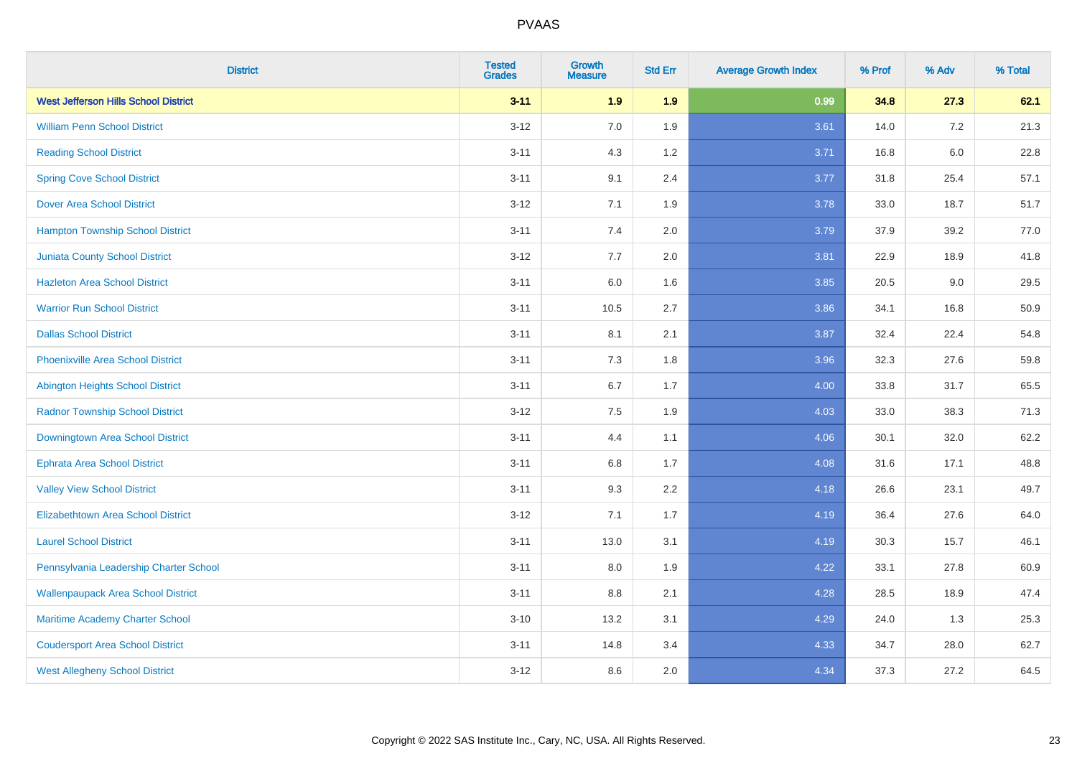| <b>District</b>                             | <b>Tested</b><br><b>Grades</b> | <b>Growth</b><br><b>Measure</b> | <b>Std Err</b> | <b>Average Growth Index</b> | % Prof | % Adv   | % Total |
|---------------------------------------------|--------------------------------|---------------------------------|----------------|-----------------------------|--------|---------|---------|
| <b>West Jefferson Hills School District</b> | $3 - 11$                       | 1.9                             | 1.9            | 0.99                        | 34.8   | 27.3    | 62.1    |
| <b>William Penn School District</b>         | $3 - 12$                       | 7.0                             | 1.9            | 3.61                        | 14.0   | $7.2\,$ | 21.3    |
| <b>Reading School District</b>              | $3 - 11$                       | 4.3                             | 1.2            | 3.71                        | 16.8   | $6.0\,$ | 22.8    |
| <b>Spring Cove School District</b>          | $3 - 11$                       | 9.1                             | 2.4            | 3.77                        | 31.8   | 25.4    | 57.1    |
| <b>Dover Area School District</b>           | $3 - 12$                       | 7.1                             | 1.9            | 3.78                        | 33.0   | 18.7    | 51.7    |
| <b>Hampton Township School District</b>     | $3 - 11$                       | 7.4                             | 2.0            | 3.79                        | 37.9   | 39.2    | 77.0    |
| <b>Juniata County School District</b>       | $3-12$                         | 7.7                             | 2.0            | 3.81                        | 22.9   | 18.9    | 41.8    |
| <b>Hazleton Area School District</b>        | $3 - 11$                       | 6.0                             | 1.6            | 3.85                        | 20.5   | 9.0     | 29.5    |
| <b>Warrior Run School District</b>          | $3 - 11$                       | 10.5                            | 2.7            | 3.86                        | 34.1   | 16.8    | 50.9    |
| <b>Dallas School District</b>               | $3 - 11$                       | 8.1                             | 2.1            | 3.87                        | 32.4   | 22.4    | 54.8    |
| <b>Phoenixville Area School District</b>    | $3 - 11$                       | 7.3                             | 1.8            | 3.96                        | 32.3   | 27.6    | 59.8    |
| Abington Heights School District            | $3 - 11$                       | 6.7                             | 1.7            | 4.00                        | 33.8   | 31.7    | 65.5    |
| <b>Radnor Township School District</b>      | $3 - 12$                       | $7.5\,$                         | 1.9            | 4.03                        | 33.0   | 38.3    | 71.3    |
| Downingtown Area School District            | $3 - 11$                       | 4.4                             | 1.1            | 4.06                        | 30.1   | 32.0    | 62.2    |
| <b>Ephrata Area School District</b>         | $3 - 11$                       | 6.8                             | 1.7            | 4.08                        | 31.6   | 17.1    | 48.8    |
| <b>Valley View School District</b>          | $3 - 11$                       | 9.3                             | 2.2            | 4.18                        | 26.6   | 23.1    | 49.7    |
| <b>Elizabethtown Area School District</b>   | $3-12$                         | 7.1                             | 1.7            | 4.19                        | 36.4   | 27.6    | 64.0    |
| <b>Laurel School District</b>               | $3 - 11$                       | 13.0                            | 3.1            | 4.19                        | 30.3   | 15.7    | 46.1    |
| Pennsylvania Leadership Charter School      | $3 - 11$                       | 8.0                             | 1.9            | 4.22                        | 33.1   | 27.8    | 60.9    |
| <b>Wallenpaupack Area School District</b>   | $3 - 11$                       | 8.8                             | 2.1            | 4.28                        | 28.5   | 18.9    | 47.4    |
| Maritime Academy Charter School             | $3 - 10$                       | 13.2                            | 3.1            | 4.29                        | 24.0   | 1.3     | 25.3    |
| <b>Coudersport Area School District</b>     | $3 - 11$                       | 14.8                            | 3.4            | 4.33                        | 34.7   | 28.0    | 62.7    |
| <b>West Allegheny School District</b>       | $3-12$                         | 8.6                             | 2.0            | 4.34                        | 37.3   | 27.2    | 64.5    |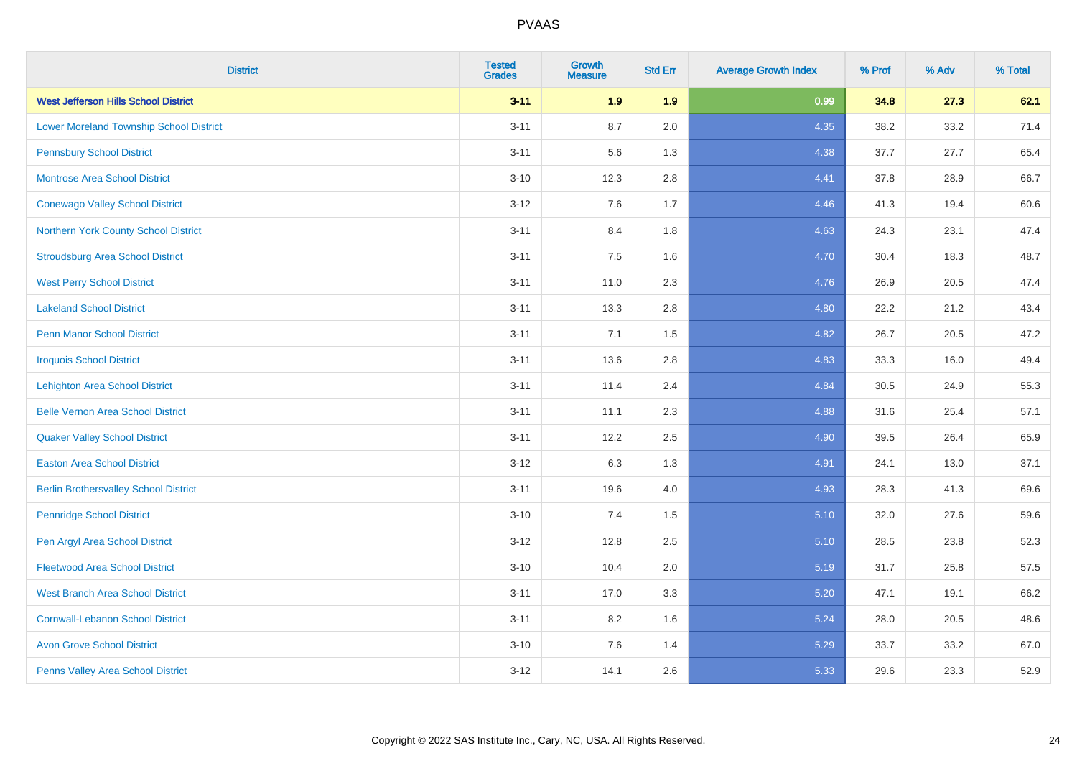| <b>District</b>                                | <b>Tested</b><br><b>Grades</b> | <b>Growth</b><br><b>Measure</b> | <b>Std Err</b> | <b>Average Growth Index</b> | % Prof | % Adv | % Total |
|------------------------------------------------|--------------------------------|---------------------------------|----------------|-----------------------------|--------|-------|---------|
| <b>West Jefferson Hills School District</b>    | $3 - 11$                       | 1.9                             | 1.9            | 0.99                        | 34.8   | 27.3  | 62.1    |
| <b>Lower Moreland Township School District</b> | $3 - 11$                       | 8.7                             | 2.0            | 4.35                        | 38.2   | 33.2  | 71.4    |
| <b>Pennsbury School District</b>               | $3 - 11$                       | 5.6                             | 1.3            | 4.38                        | 37.7   | 27.7  | 65.4    |
| <b>Montrose Area School District</b>           | $3 - 10$                       | 12.3                            | 2.8            | 4.41                        | 37.8   | 28.9  | 66.7    |
| <b>Conewago Valley School District</b>         | $3 - 12$                       | 7.6                             | 1.7            | 4.46                        | 41.3   | 19.4  | 60.6    |
| Northern York County School District           | $3 - 11$                       | 8.4                             | 1.8            | 4.63                        | 24.3   | 23.1  | 47.4    |
| <b>Stroudsburg Area School District</b>        | $3 - 11$                       | 7.5                             | 1.6            | 4.70                        | 30.4   | 18.3  | 48.7    |
| <b>West Perry School District</b>              | $3 - 11$                       | 11.0                            | 2.3            | 4.76                        | 26.9   | 20.5  | 47.4    |
| <b>Lakeland School District</b>                | $3 - 11$                       | 13.3                            | 2.8            | 4.80                        | 22.2   | 21.2  | 43.4    |
| <b>Penn Manor School District</b>              | $3 - 11$                       | 7.1                             | 1.5            | 4.82                        | 26.7   | 20.5  | 47.2    |
| <b>Iroquois School District</b>                | $3 - 11$                       | 13.6                            | 2.8            | 4.83                        | 33.3   | 16.0  | 49.4    |
| <b>Lehighton Area School District</b>          | $3 - 11$                       | 11.4                            | 2.4            | 4.84                        | 30.5   | 24.9  | 55.3    |
| <b>Belle Vernon Area School District</b>       | $3 - 11$                       | 11.1                            | 2.3            | 4.88                        | 31.6   | 25.4  | 57.1    |
| <b>Quaker Valley School District</b>           | $3 - 11$                       | 12.2                            | 2.5            | 4.90                        | 39.5   | 26.4  | 65.9    |
| <b>Easton Area School District</b>             | $3 - 12$                       | 6.3                             | 1.3            | 4.91                        | 24.1   | 13.0  | 37.1    |
| <b>Berlin Brothersvalley School District</b>   | $3 - 11$                       | 19.6                            | 4.0            | 4.93                        | 28.3   | 41.3  | 69.6    |
| <b>Pennridge School District</b>               | $3 - 10$                       | 7.4                             | 1.5            | 5.10                        | 32.0   | 27.6  | 59.6    |
| Pen Argyl Area School District                 | $3 - 12$                       | 12.8                            | 2.5            | 5.10                        | 28.5   | 23.8  | 52.3    |
| <b>Fleetwood Area School District</b>          | $3 - 10$                       | 10.4                            | 2.0            | 5.19                        | 31.7   | 25.8  | 57.5    |
| <b>West Branch Area School District</b>        | $3 - 11$                       | 17.0                            | 3.3            | 5.20                        | 47.1   | 19.1  | 66.2    |
| <b>Cornwall-Lebanon School District</b>        | $3 - 11$                       | 8.2                             | 1.6            | 5.24                        | 28.0   | 20.5  | 48.6    |
| <b>Avon Grove School District</b>              | $3 - 10$                       | 7.6                             | 1.4            | 5.29                        | 33.7   | 33.2  | 67.0    |
| Penns Valley Area School District              | $3-12$                         | 14.1                            | 2.6            | 5.33                        | 29.6   | 23.3  | 52.9    |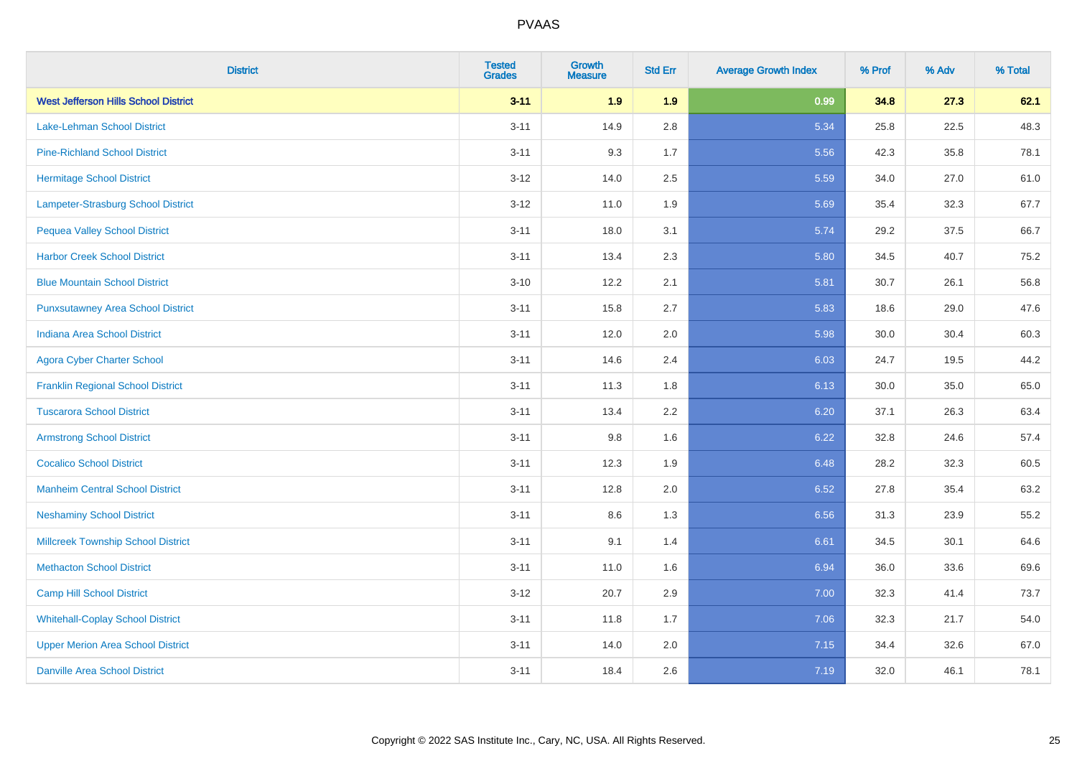| <b>District</b>                             | <b>Tested</b><br><b>Grades</b> | <b>Growth</b><br><b>Measure</b> | <b>Std Err</b> | <b>Average Growth Index</b> | % Prof | % Adv | % Total |
|---------------------------------------------|--------------------------------|---------------------------------|----------------|-----------------------------|--------|-------|---------|
| <b>West Jefferson Hills School District</b> | $3 - 11$                       | 1.9                             | 1.9            | 0.99                        | 34.8   | 27.3  | 62.1    |
| Lake-Lehman School District                 | $3 - 11$                       | 14.9                            | 2.8            | 5.34                        | 25.8   | 22.5  | 48.3    |
| <b>Pine-Richland School District</b>        | $3 - 11$                       | 9.3                             | 1.7            | 5.56                        | 42.3   | 35.8  | 78.1    |
| <b>Hermitage School District</b>            | $3 - 12$                       | 14.0                            | 2.5            | 5.59                        | 34.0   | 27.0  | 61.0    |
| Lampeter-Strasburg School District          | $3 - 12$                       | 11.0                            | 1.9            | 5.69                        | 35.4   | 32.3  | 67.7    |
| <b>Pequea Valley School District</b>        | $3 - 11$                       | 18.0                            | 3.1            | 5.74                        | 29.2   | 37.5  | 66.7    |
| <b>Harbor Creek School District</b>         | $3 - 11$                       | 13.4                            | 2.3            | 5.80                        | 34.5   | 40.7  | 75.2    |
| <b>Blue Mountain School District</b>        | $3 - 10$                       | 12.2                            | 2.1            | 5.81                        | 30.7   | 26.1  | 56.8    |
| <b>Punxsutawney Area School District</b>    | $3 - 11$                       | 15.8                            | 2.7            | 5.83                        | 18.6   | 29.0  | 47.6    |
| <b>Indiana Area School District</b>         | $3 - 11$                       | 12.0                            | 2.0            | 5.98                        | 30.0   | 30.4  | 60.3    |
| <b>Agora Cyber Charter School</b>           | $3 - 11$                       | 14.6                            | 2.4            | 6.03                        | 24.7   | 19.5  | 44.2    |
| <b>Franklin Regional School District</b>    | $3 - 11$                       | 11.3                            | 1.8            | 6.13                        | 30.0   | 35.0  | 65.0    |
| <b>Tuscarora School District</b>            | $3 - 11$                       | 13.4                            | 2.2            | 6.20                        | 37.1   | 26.3  | 63.4    |
| <b>Armstrong School District</b>            | $3 - 11$                       | 9.8                             | 1.6            | 6.22                        | 32.8   | 24.6  | 57.4    |
| <b>Cocalico School District</b>             | $3 - 11$                       | 12.3                            | 1.9            | 6.48                        | 28.2   | 32.3  | 60.5    |
| <b>Manheim Central School District</b>      | $3 - 11$                       | 12.8                            | 2.0            | 6.52                        | 27.8   | 35.4  | 63.2    |
| <b>Neshaminy School District</b>            | $3 - 11$                       | 8.6                             | 1.3            | 6.56                        | 31.3   | 23.9  | 55.2    |
| <b>Millcreek Township School District</b>   | $3 - 11$                       | 9.1                             | 1.4            | 6.61                        | 34.5   | 30.1  | 64.6    |
| <b>Methacton School District</b>            | $3 - 11$                       | 11.0                            | 1.6            | 6.94                        | 36.0   | 33.6  | 69.6    |
| <b>Camp Hill School District</b>            | $3-12$                         | 20.7                            | 2.9            | 7.00                        | 32.3   | 41.4  | 73.7    |
| <b>Whitehall-Coplay School District</b>     | $3 - 11$                       | 11.8                            | 1.7            | 7.06                        | 32.3   | 21.7  | 54.0    |
| <b>Upper Merion Area School District</b>    | $3 - 11$                       | 14.0                            | 2.0            | 7.15                        | 34.4   | 32.6  | 67.0    |
| <b>Danville Area School District</b>        | $3 - 11$                       | 18.4                            | 2.6            | 7.19                        | 32.0   | 46.1  | 78.1    |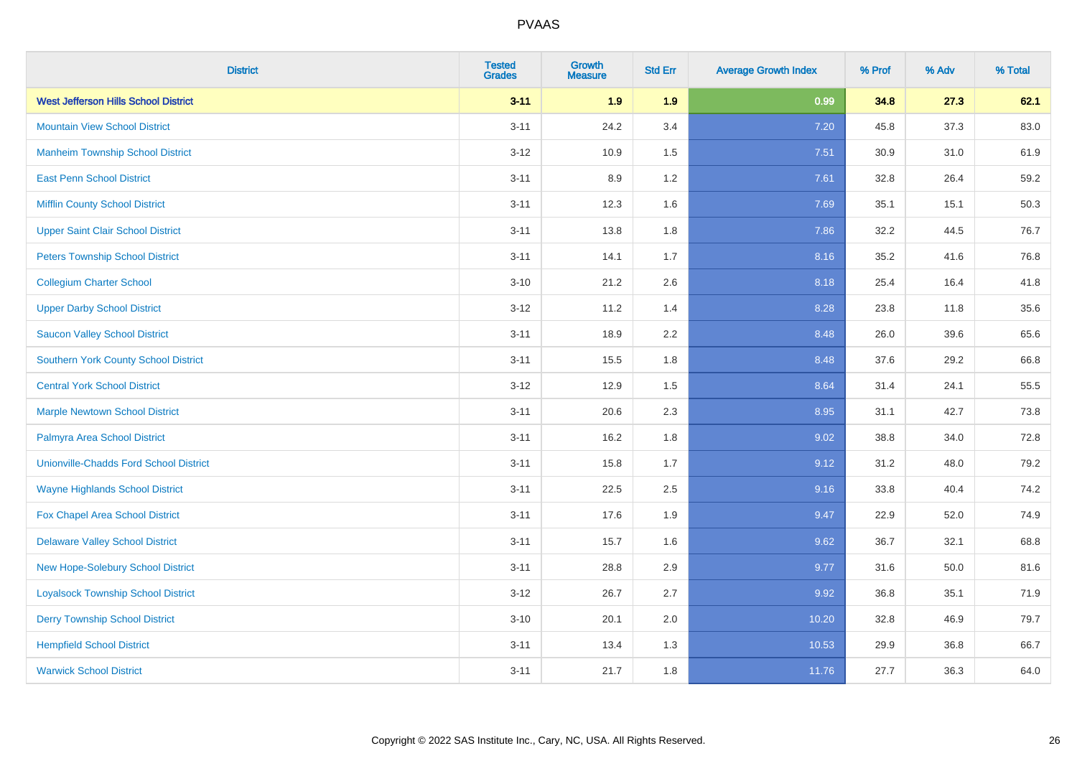| <b>District</b>                               | <b>Tested</b><br><b>Grades</b> | <b>Growth</b><br><b>Measure</b> | <b>Std Err</b> | <b>Average Growth Index</b> | % Prof | % Adv | % Total |
|-----------------------------------------------|--------------------------------|---------------------------------|----------------|-----------------------------|--------|-------|---------|
| <b>West Jefferson Hills School District</b>   | $3 - 11$                       | 1.9                             | 1.9            | 0.99                        | 34.8   | 27.3  | 62.1    |
| <b>Mountain View School District</b>          | $3 - 11$                       | 24.2                            | 3.4            | 7.20                        | 45.8   | 37.3  | 83.0    |
| <b>Manheim Township School District</b>       | $3 - 12$                       | 10.9                            | 1.5            | 7.51                        | 30.9   | 31.0  | 61.9    |
| <b>East Penn School District</b>              | $3 - 11$                       | 8.9                             | 1.2            | 7.61                        | 32.8   | 26.4  | 59.2    |
| <b>Mifflin County School District</b>         | $3 - 11$                       | 12.3                            | 1.6            | 7.69                        | 35.1   | 15.1  | 50.3    |
| <b>Upper Saint Clair School District</b>      | $3 - 11$                       | 13.8                            | 1.8            | 7.86                        | 32.2   | 44.5  | 76.7    |
| <b>Peters Township School District</b>        | $3 - 11$                       | 14.1                            | 1.7            | 8.16                        | 35.2   | 41.6  | 76.8    |
| <b>Collegium Charter School</b>               | $3 - 10$                       | 21.2                            | 2.6            | 8.18                        | 25.4   | 16.4  | 41.8    |
| <b>Upper Darby School District</b>            | $3 - 12$                       | 11.2                            | 1.4            | 8.28                        | 23.8   | 11.8  | 35.6    |
| <b>Saucon Valley School District</b>          | $3 - 11$                       | 18.9                            | 2.2            | 8.48                        | 26.0   | 39.6  | 65.6    |
| <b>Southern York County School District</b>   | $3 - 11$                       | 15.5                            | 1.8            | 8.48                        | 37.6   | 29.2  | 66.8    |
| <b>Central York School District</b>           | $3 - 12$                       | 12.9                            | 1.5            | 8.64                        | 31.4   | 24.1  | 55.5    |
| <b>Marple Newtown School District</b>         | $3 - 11$                       | 20.6                            | 2.3            | 8.95                        | 31.1   | 42.7  | 73.8    |
| Palmyra Area School District                  | $3 - 11$                       | 16.2                            | 1.8            | 9.02                        | 38.8   | 34.0  | 72.8    |
| <b>Unionville-Chadds Ford School District</b> | $3 - 11$                       | 15.8                            | 1.7            | 9.12                        | 31.2   | 48.0  | 79.2    |
| <b>Wayne Highlands School District</b>        | $3 - 11$                       | 22.5                            | 2.5            | 9.16                        | 33.8   | 40.4  | 74.2    |
| Fox Chapel Area School District               | $3 - 11$                       | 17.6                            | 1.9            | 9.47                        | 22.9   | 52.0  | 74.9    |
| <b>Delaware Valley School District</b>        | $3 - 11$                       | 15.7                            | 1.6            | 9.62                        | 36.7   | 32.1  | 68.8    |
| <b>New Hope-Solebury School District</b>      | $3 - 11$                       | 28.8                            | 2.9            | 9.77                        | 31.6   | 50.0  | 81.6    |
| <b>Loyalsock Township School District</b>     | $3-12$                         | 26.7                            | 2.7            | 9.92                        | 36.8   | 35.1  | 71.9    |
| <b>Derry Township School District</b>         | $3 - 10$                       | 20.1                            | 2.0            | 10.20                       | 32.8   | 46.9  | 79.7    |
| <b>Hempfield School District</b>              | $3 - 11$                       | 13.4                            | 1.3            | 10.53                       | 29.9   | 36.8  | 66.7    |
| <b>Warwick School District</b>                | $3 - 11$                       | 21.7                            | 1.8            | 11.76                       | 27.7   | 36.3  | 64.0    |